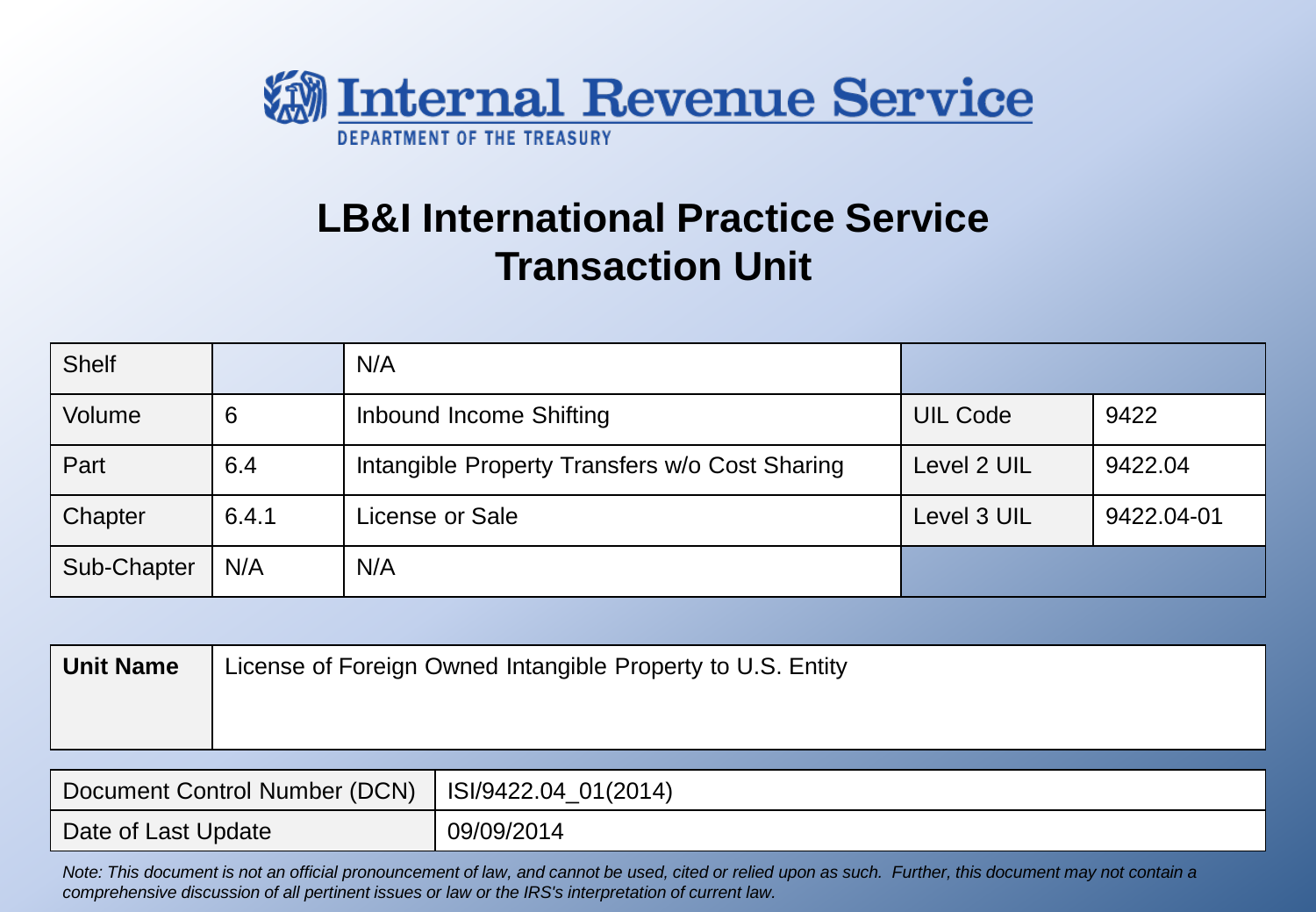

# **LB&I International Practice Service Transaction Unit**

| <b>Shelf</b> |       | N/A                                            |                 |            |
|--------------|-------|------------------------------------------------|-----------------|------------|
| Volume       | 6     | Inbound Income Shifting                        | <b>UIL Code</b> | 9422       |
| Part         | 6.4   | Intangible Property Transfers w/o Cost Sharing | Level 2 UIL     | 9422.04    |
| Chapter      | 6.4.1 | License or Sale                                | Level 3 UIL     | 9422.04-01 |
| Sub-Chapter  | N/A   | N/A                                            |                 |            |

| <b>Unit Name</b> | License of Foreign Owned Intangible Property to U.S. Entity |
|------------------|-------------------------------------------------------------|
|                  |                                                             |
|                  |                                                             |

| Document Control Number (DCN)   ISI/9422.04_01(2014) |            |
|------------------------------------------------------|------------|
| Date of Last Update                                  | 09/09/2014 |

*Note: This document is not an official pronouncement of law, and cannot be used, cited or relied upon as such. Further, this document may not contain a comprehensive discussion of all pertinent issues or law or the IRS's interpretation of current law.*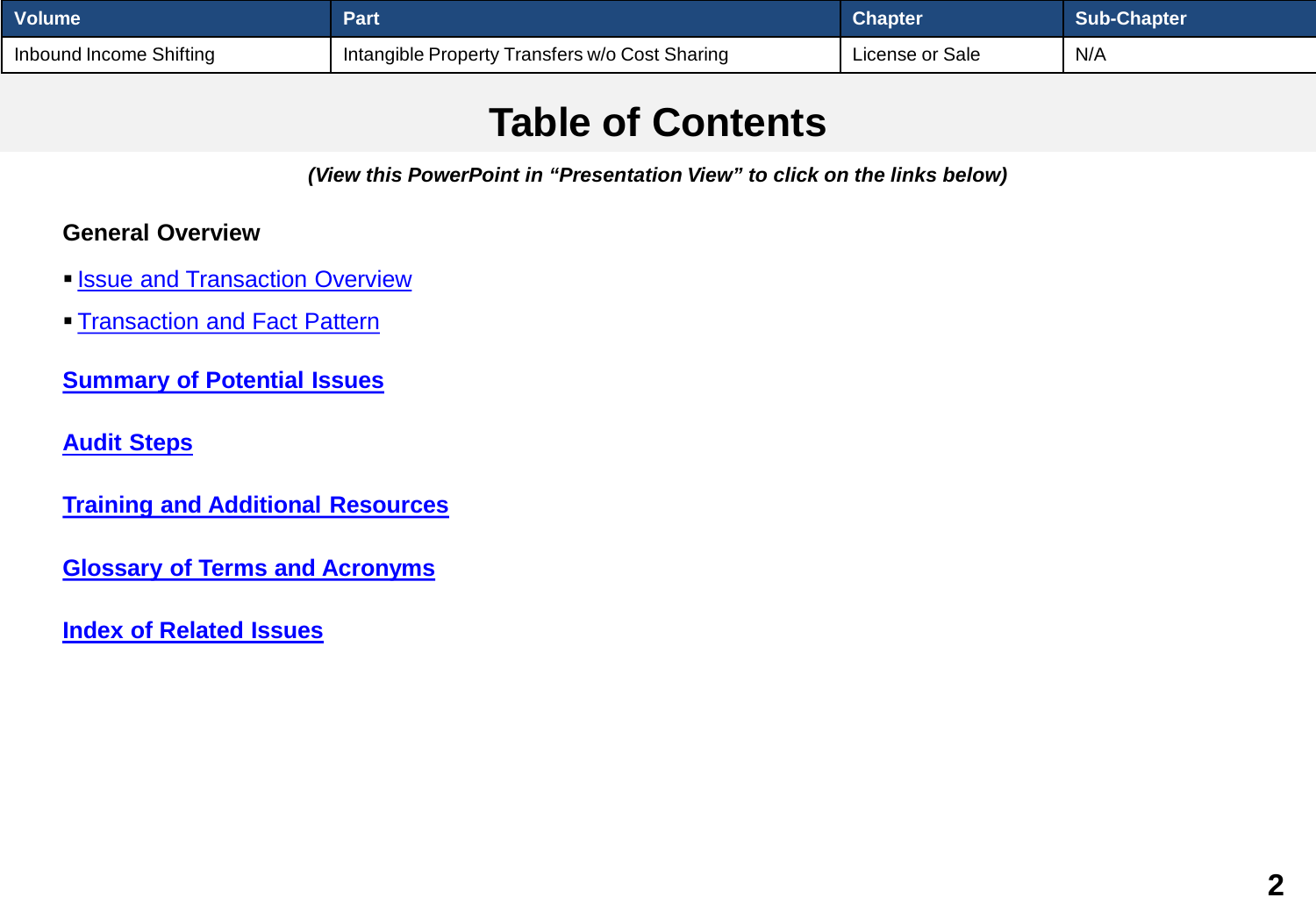<span id="page-1-0"></span>

| <b>Volume</b>           | Part                                            | <b>Chapter</b>  | Sub-Chapter |
|-------------------------|-------------------------------------------------|-----------------|-------------|
| Inbound Income Shifting | 'Intangible Property Transfers w/o Cost Sharing | License or Sale | N/A         |

## **Table of Contents**

*(View this PowerPoint in "Presentation View" to click on the links below)*

#### **General Overview**

- **[Issue and Transaction Overview](#page-2-0)**
- **[Transaction and Fact Pattern](#page-4-0)**

**[Summary of Potential Issues](#page-5-0)** 

**[Audit Steps](#page-6-0)**

**[Training and Additional Resources](#page-22-0)**

**[Glossary of Terms and Acronyms](#page-24-0)**

**[Index of Related Issues](#page-26-0)**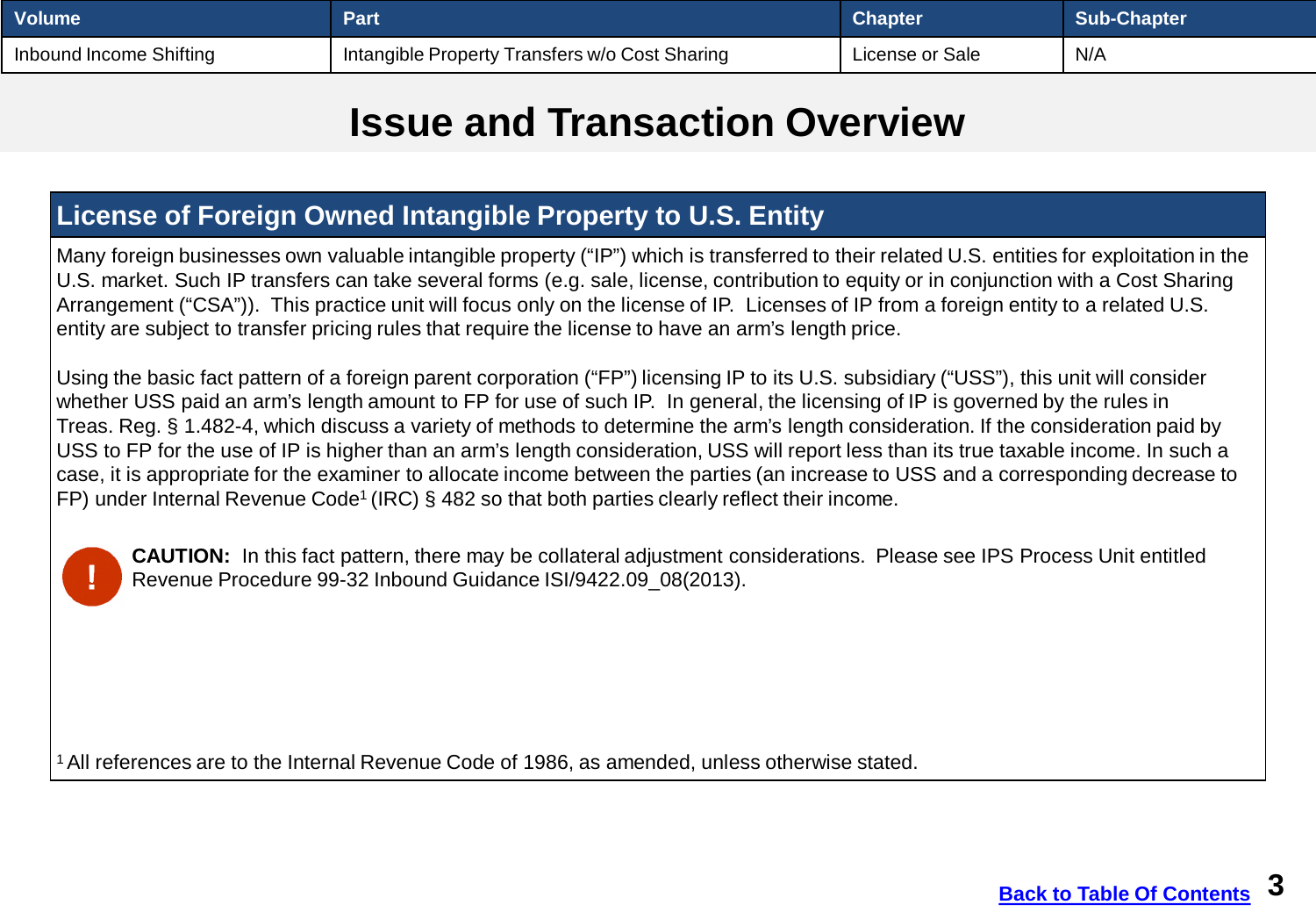<span id="page-2-0"></span>

| <b>Volume</b>           | Part                                             | <b>Chapter</b>  | Sub-Chapter |
|-------------------------|--------------------------------------------------|-----------------|-------------|
| Inbound Income Shifting | I Intangible Property Transfers w/o Cost Sharing | License or Sale | N/A         |

#### **Issue and Transaction Overview**

#### **License of Foreign Owned Intangible Property to U.S. Entity**

Many foreign businesses own valuable intangible property ("IP") which is transferred to their related U.S. entities for exploitation in the U.S. market. Such IP transfers can take several forms (e.g. sale, license, contribution to equity or in conjunction with a Cost Sharing Arrangement ("CSA")). This practice unit will focus only on the license of IP. Licenses of IP from a foreign entity to a related U.S. entity are subject to transfer pricing rules that require the license to have an arm's length price.

Using the basic fact pattern of a foreign parent corporation ("FP") licensing IP to its U.S. subsidiary ("USS"), this unit will consider whether USS paid an arm's length amount to FP for use of such IP. In general, the licensing of IP is governed by the rules in Treas. Reg. § 1.482-4, which discuss a variety of methods to determine the arm's length consideration. If the consideration paid by USS to FP for the use of IP is higher than an arm's length consideration, USS will report less than its true taxable income. In such a case, it is appropriate for the examiner to allocate income between the parties (an increase to USS and a corresponding decrease to FP) under Internal Revenue Code<sup>1</sup> (IRC)  $\S$  482 so that both parties clearly reflect their income.



**CAUTION:** In this fact pattern, there may be collateral adjustment considerations. Please see IPS Process Unit entitled Revenue Procedure 99-32 Inbound Guidance ISI/9422.09\_08(2013).

<sup>1</sup> All references are to the Internal Revenue Code of 1986, as amended, unless otherwise stated.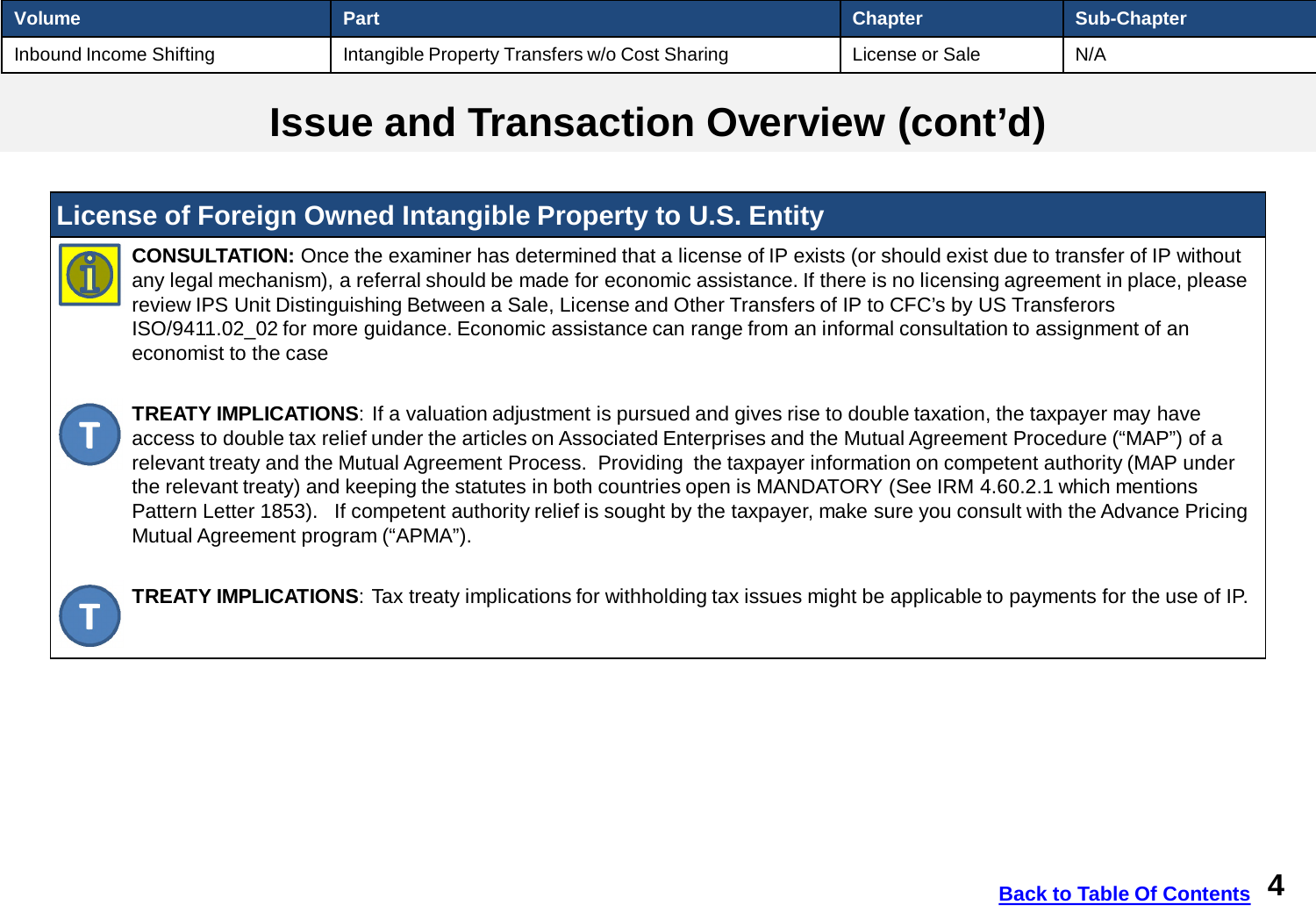| <b>Volume</b>           | Part                                                        | <b>Chapter</b>  | Sub-Chapter |
|-------------------------|-------------------------------------------------------------|-----------------|-------------|
| Inbound Income Shifting | <sup>1</sup> Intangible Property Transfers w/o Cost Sharing | License or Sale | N/A         |

#### **Issue and Transaction Overview (cont'd)**

#### **License of Foreign Owned Intangible Property to U.S. Entity**



**CONSULTATION:** Once the examiner has determined that a license of IP exists (or should exist due to transfer of IP without any legal mechanism), a referral should be made for economic assistance. If there is no licensing agreement in place, please review IPS Unit Distinguishing Between a Sale, License and Other Transfers of IP to CFC's by US Transferors ISO/9411.02\_02 for more guidance. Economic assistance can range from an informal consultation to assignment of an economist to the case



**TREATY IMPLICATIONS**: If a valuation adjustment is pursued and gives rise to double taxation, the taxpayer may have access to double tax relief under the articles on Associated Enterprises and the Mutual Agreement Procedure ("MAP") of a relevant treaty and the Mutual Agreement Process. Providing the taxpayer information on competent authority (MAP under the relevant treaty) and keeping the statutes in both countries open is MANDATORY (See IRM 4.60.2.1 which mentions Pattern Letter 1853). If competent authority relief is sought by the taxpayer, make sure you consult with the Advance Pricing Mutual Agreement program ("APMA").



**TREATY IMPLICATIONS**: Tax treaty implications for withholding tax issues might be applicable to payments for the use of IP.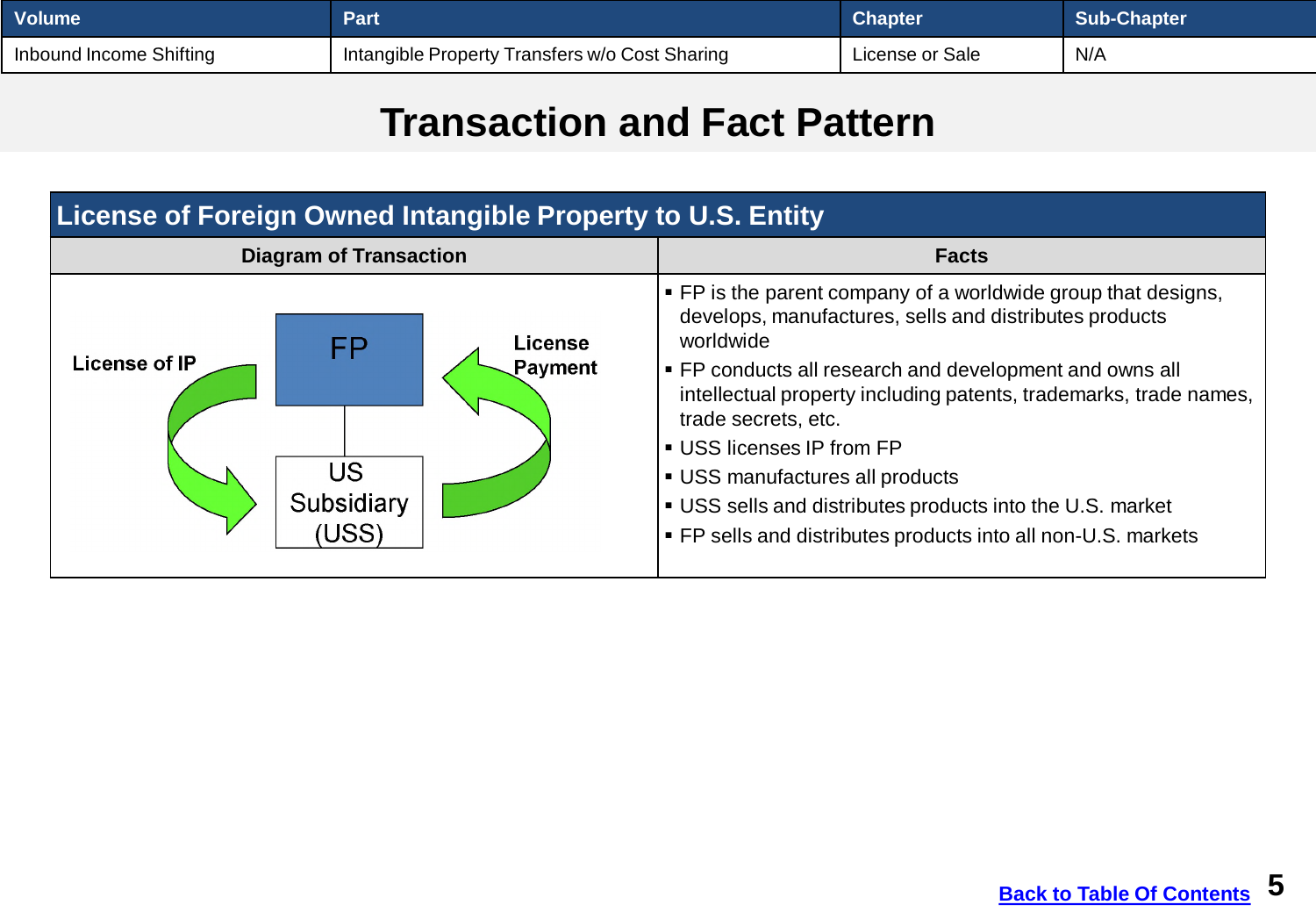<span id="page-4-0"></span>

| <b>Volume</b>           | Part                                           | Chapter         | Sub-Chapter |
|-------------------------|------------------------------------------------|-----------------|-------------|
| Inbound Income Shifting | Intangible Property Transfers w/o Cost Sharing | License or Sale | N/A         |

#### **Transaction and Fact Pattern**

| <b>License of Foreign Owned Intangible Property to U.S. Entity</b>                 |                                                                                                                                                                                                                                                                                                                                                                                                                                                                                                             |  |  |
|------------------------------------------------------------------------------------|-------------------------------------------------------------------------------------------------------------------------------------------------------------------------------------------------------------------------------------------------------------------------------------------------------------------------------------------------------------------------------------------------------------------------------------------------------------------------------------------------------------|--|--|
| <b>Diagram of Transaction</b>                                                      | <b>Facts</b>                                                                                                                                                                                                                                                                                                                                                                                                                                                                                                |  |  |
| License<br>FP<br><b>License of IP</b><br>Payment<br>US<br>Subsidiary<br><b>USS</b> | $\blacktriangleright$ FP is the parent company of a worldwide group that designs,<br>develops, manufactures, sells and distributes products<br>worldwide<br>• FP conducts all research and development and owns all<br>intellectual property including patents, trademarks, trade names,<br>trade secrets, etc.<br>■ USS licenses IP from FP<br>USS manufactures all products<br>• USS sells and distributes products into the U.S. market<br>• FP sells and distributes products into all non-U.S. markets |  |  |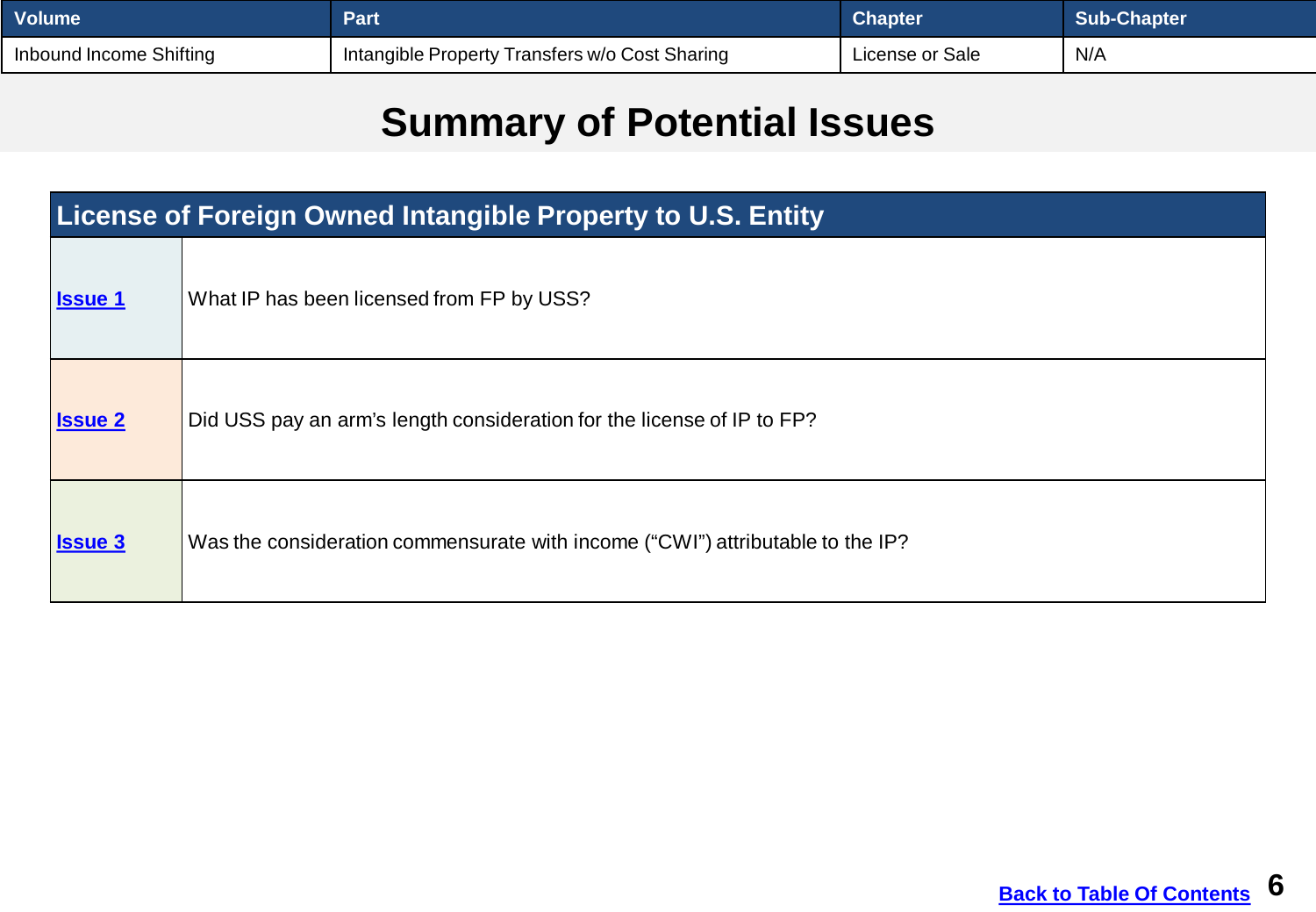<span id="page-5-0"></span>

| <b>Volume</b>           | Part                                           | <b>Chapter</b>  | <b>Sub-Chapter</b> |
|-------------------------|------------------------------------------------|-----------------|--------------------|
| Inbound Income Shifting | Intangible Property Transfers w/o Cost Sharing | License or Sale | N/A                |

# **Summary of Potential Issues**

| <b>License of Foreign Owned Intangible Property to U.S. Entity</b> |                                                                                |  |  |
|--------------------------------------------------------------------|--------------------------------------------------------------------------------|--|--|
| <b>Issue 1</b>                                                     | What IP has been licensed from FP by USS?                                      |  |  |
| <b>Issue 2</b>                                                     | Did USS pay an arm's length consideration for the license of IP to FP?         |  |  |
| <b>Issue 3</b>                                                     | Was the consideration commensurate with income ("CWI") attributable to the IP? |  |  |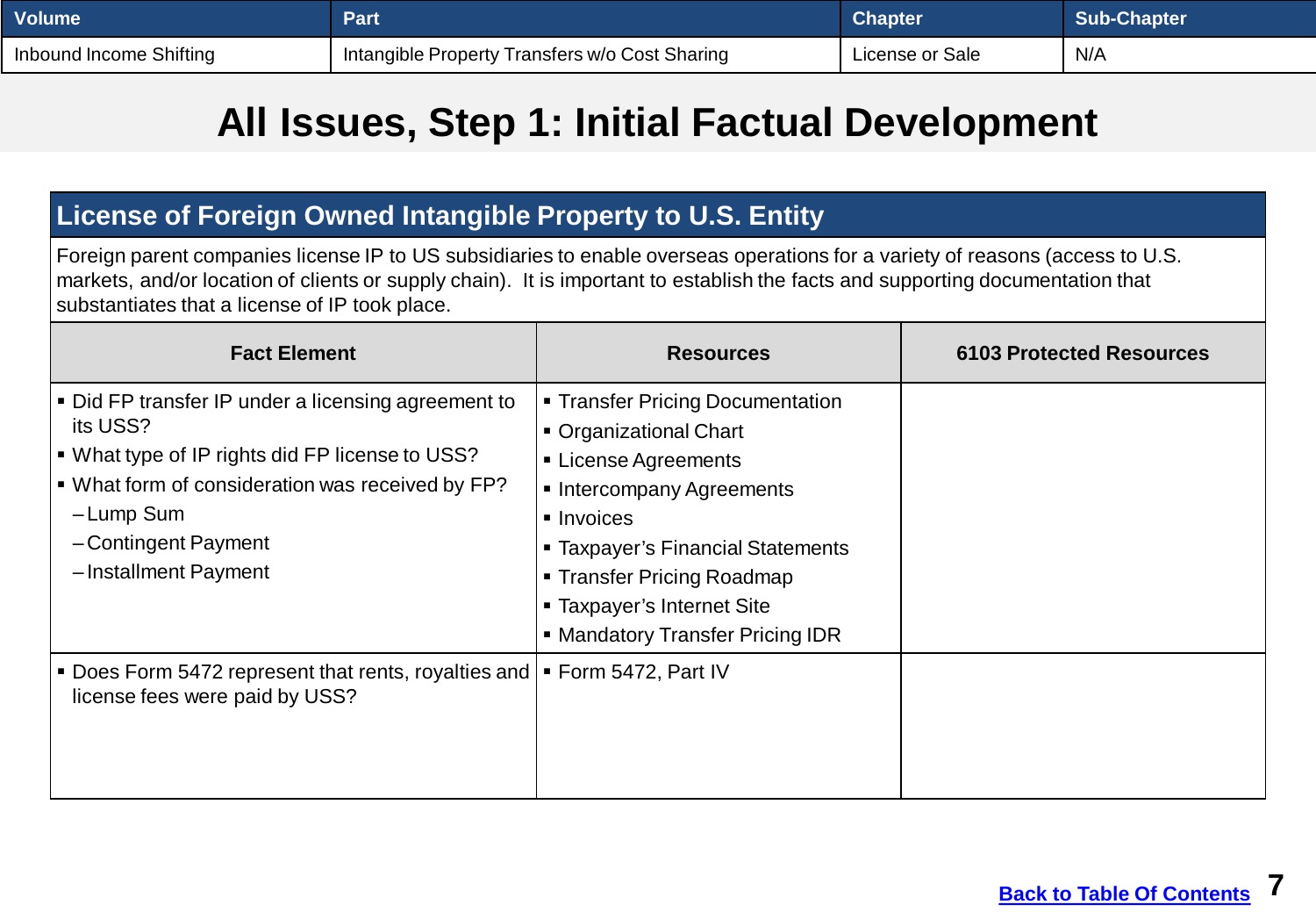<span id="page-6-0"></span>

| ∣ Volume l              | Part                                           | <b>Chapter</b>  | Sub-Chapter |
|-------------------------|------------------------------------------------|-----------------|-------------|
| Inbound Income Shifting | Intangible Property Transfers w/o Cost Sharing | ∟icense or Sale | N/A         |

#### **All Issues, Step 1: Initial Factual Development**

#### **License of Foreign Owned Intangible Property to U.S. Entity**

Foreign parent companies license IP to US subsidiaries to enable overseas operations for a variety of reasons (access to U.S. markets, and/or location of clients or supply chain). It is important to establish the facts and supporting documentation that substantiates that a license of IP took place.

| <b>Fact Element</b>                                                                                                                                                                                                                | <b>Resources</b>                                                                                                                                                                                                                                                 | <b>6103 Protected Resources</b> |
|------------------------------------------------------------------------------------------------------------------------------------------------------------------------------------------------------------------------------------|------------------------------------------------------------------------------------------------------------------------------------------------------------------------------------------------------------------------------------------------------------------|---------------------------------|
| Did FP transfer IP under a licensing agreement to<br>its USS?<br> ■ What type of IP rights did FP license to USS?<br> ■ What form of consideration was received by FP?<br>-Lump Sum<br>-Contingent Payment<br>-Installment Payment | • Transfer Pricing Documentation<br>• Organizational Chart<br>■ License Agreements<br>Intercompany Agreements<br>• Invoices<br>• Taxpayer's Financial Statements<br>■ Transfer Pricing Roadmap<br>■ Taxpayer's Internet Site<br>• Mandatory Transfer Pricing IDR |                                 |
| Does Form 5472 represent that rents, royalties and   Form 5472, Part IV<br>license fees were paid by USS?                                                                                                                          |                                                                                                                                                                                                                                                                  |                                 |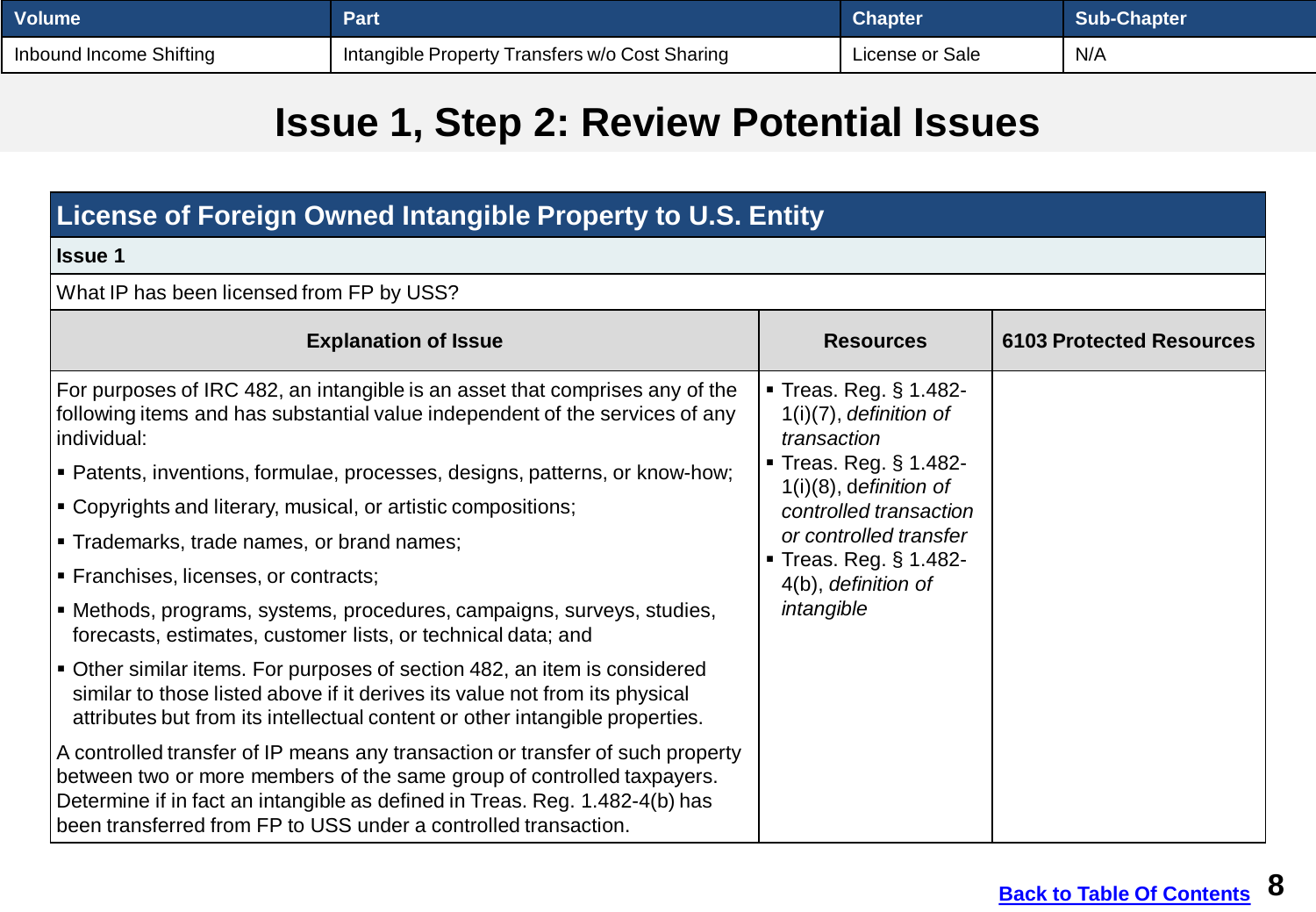<span id="page-7-0"></span>

| Volume                  | Part                                           | <b>Chapter</b>  | <b>Sub-Chapter</b> |
|-------------------------|------------------------------------------------|-----------------|--------------------|
| Inbound Income Shifting | Intangible Property Transfers w/o Cost Sharing | License or Sale | N/A                |

### **Issue 1, Step 2: Review Potential Issues**

#### **License of Foreign Owned Intangible Property to U.S. Entity Issue 1** What IP has been licensed from FP by USS? **Explanation of Issue <b>Resources Resources 6103 Protected Resources** For purposes of IRC 482, an intangible is an asset that comprises any of the following items and has substantial value independent of the services of any individual: Patents, inventions, formulae, processes, designs, patterns, or know-how; Copyrights and literary, musical, or artistic compositions; **Trademarks, trade names, or brand names: Franchises, licenses, or contracts;**  Methods, programs, systems, procedures, campaigns, surveys, studies, forecasts, estimates, customer lists, or technical data; and Other similar items. For purposes of section 482, an item is considered similar to those listed above if it derives its value not from its physical attributes but from its intellectual content or other intangible properties. A controlled transfer of IP means any transaction or transfer of such property between two or more members of the same group of controlled taxpayers. Determine if in fact an intangible as defined in Treas. Reg. 1.482-4(b) has been transferred from FP to USS under a controlled transaction. Treas. Reg. § 1.482- 1(i)(7), *definition of transaction* Treas. Reg. § 1.482- 1(i)(8), d*efinition of controlled transaction or controlled transfer* ■ Treas. Reg. § 1.482-4(b), *definition of intangible*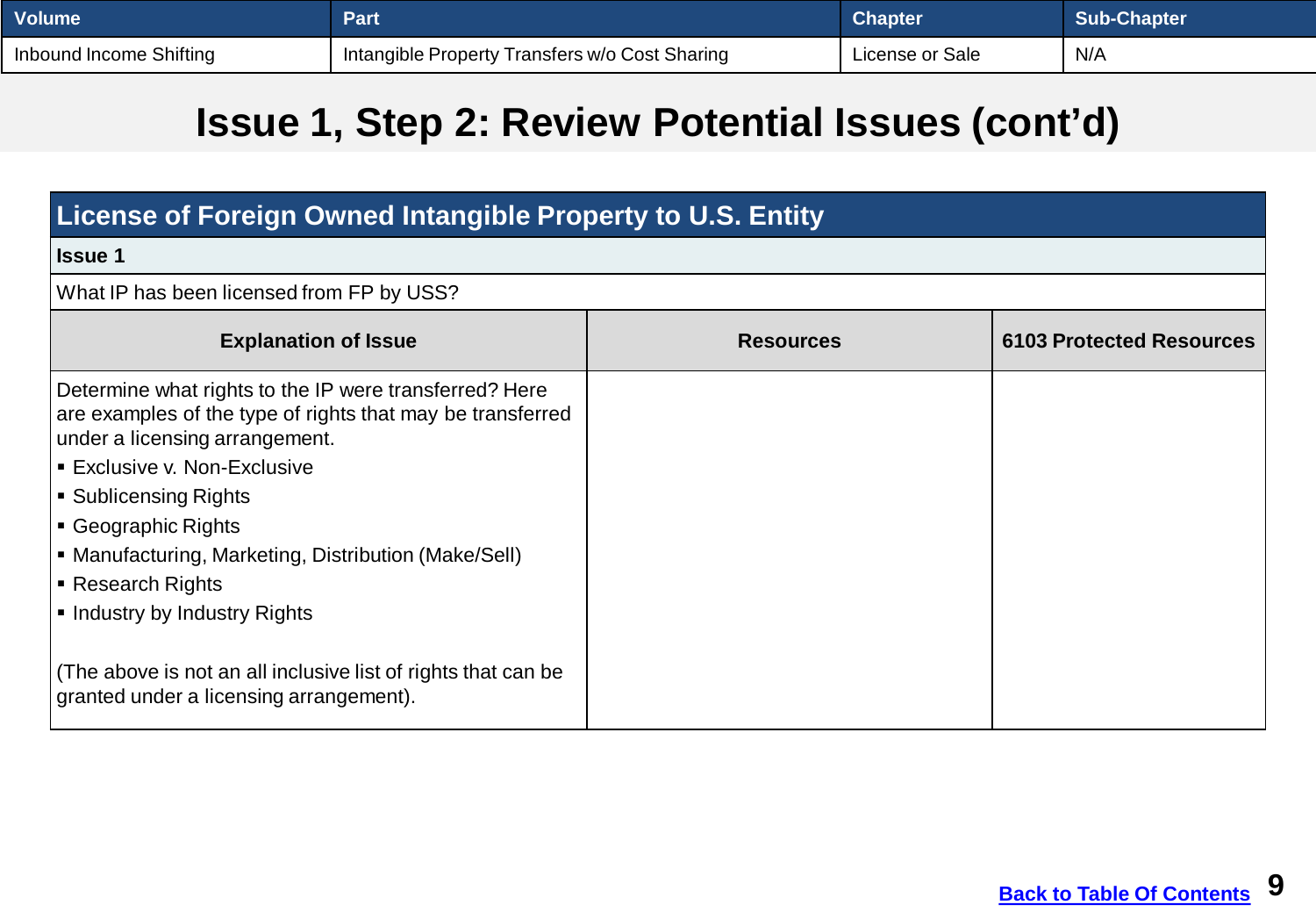| <b>Volume</b>           | <b>Part</b>                                    | <b>Chapter</b>  | <b>Sub-Chapter</b> |
|-------------------------|------------------------------------------------|-----------------|--------------------|
| Inbound Income Shifting | Intangible Property Transfers w/o Cost Sharing | License or Sale | N/A                |

## **Issue 1, Step 2: Review Potential Issues (cont'd)**

| License of Foreign Owned Intangible Property to U.S. Entity                                                                                                                                                                                                                                                                                               |                  |                                 |  |
|-----------------------------------------------------------------------------------------------------------------------------------------------------------------------------------------------------------------------------------------------------------------------------------------------------------------------------------------------------------|------------------|---------------------------------|--|
| <b>Issue 1</b>                                                                                                                                                                                                                                                                                                                                            |                  |                                 |  |
| What IP has been licensed from FP by USS?                                                                                                                                                                                                                                                                                                                 |                  |                                 |  |
| <b>Explanation of Issue</b>                                                                                                                                                                                                                                                                                                                               | <b>Resources</b> | <b>6103 Protected Resources</b> |  |
| Determine what rights to the IP were transferred? Here<br>are examples of the type of rights that may be transferred<br>under a licensing arrangement.<br><b>Exclusive v. Non-Exclusive</b><br>■ Sublicensing Rights<br>• Geographic Rights<br>• Manufacturing, Marketing, Distribution (Make/Sell)<br>• Research Rights<br>• Industry by Industry Rights |                  |                                 |  |
| (The above is not an all inclusive list of rights that can be<br>granted under a licensing arrangement).                                                                                                                                                                                                                                                  |                  |                                 |  |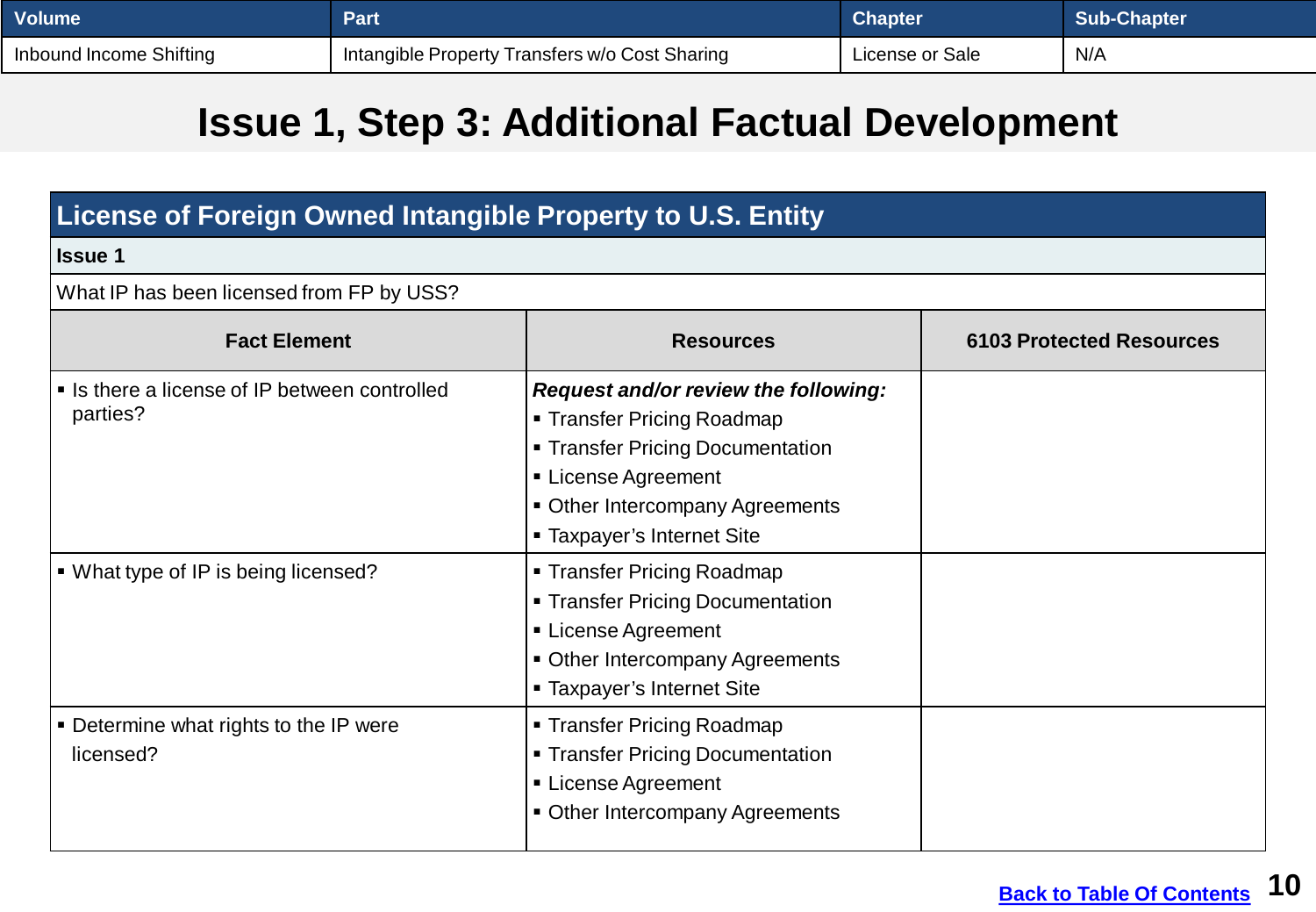| <b>Volume</b>           | Part                                           | <b>Chapter</b>  | <b>Sub-Chapter</b> |
|-------------------------|------------------------------------------------|-----------------|--------------------|
| Inbound Income Shifting | Intangible Property Transfers w/o Cost Sharing | License or Sale | N/A                |

## **Issue 1, Step 3: Additional Factual Development**

| License of Foreign Owned Intangible Property to U.S. Entity |                                                                                                                                                                                                        |                                 |  |  |
|-------------------------------------------------------------|--------------------------------------------------------------------------------------------------------------------------------------------------------------------------------------------------------|---------------------------------|--|--|
| <b>Issue 1</b>                                              |                                                                                                                                                                                                        |                                 |  |  |
| What IP has been licensed from FP by USS?                   |                                                                                                                                                                                                        |                                 |  |  |
| <b>Fact Element</b>                                         | <b>Resources</b>                                                                                                                                                                                       | <b>6103 Protected Resources</b> |  |  |
| • Is there a license of IP between controlled<br>parties?   | Request and/or review the following:<br>■ Transfer Pricing Roadmap<br><b>Transfer Pricing Documentation</b><br>License Agreement<br>• Other Intercompany Agreements<br><b>Taxpayer's Internet Site</b> |                                 |  |  |
| • What type of IP is being licensed?                        | <b>Transfer Pricing Roadmap</b><br>• Transfer Pricing Documentation<br>License Agreement<br>• Other Intercompany Agreements<br><b>Taxpayer's Internet Site</b>                                         |                                 |  |  |
| • Determine what rights to the IP were<br>licensed?         | ■ Transfer Pricing Roadmap<br><b>Transfer Pricing Documentation</b><br>License Agreement<br>• Other Intercompany Agreements                                                                            |                                 |  |  |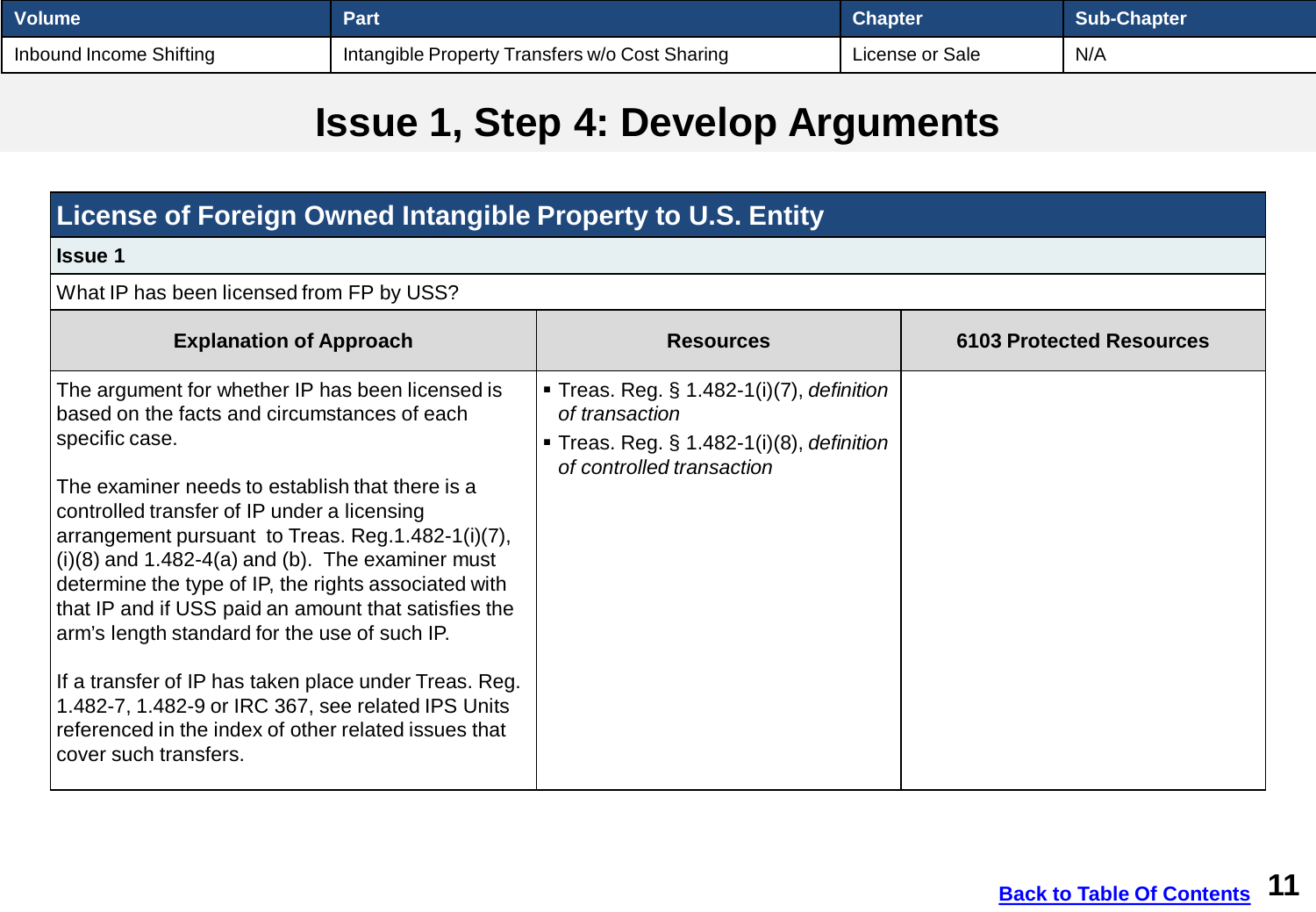| <b>Volume</b>           | Part                                           | <b>Chapter</b>  | Sub-Chapter |
|-------------------------|------------------------------------------------|-----------------|-------------|
| Inbound Income Shifting | Intangible Property Transfers w/o Cost Sharing | License or Sale | N/A         |

## **Issue 1, Step 4: Develop Arguments**

| License of Foreign Owned Intangible Property to U.S. Entity                                                                                                                                                                                                                                                                                                                                                                                                                                                                                                                                                                                                                                       |                                                                                                                                                 |                                 |  |  |
|---------------------------------------------------------------------------------------------------------------------------------------------------------------------------------------------------------------------------------------------------------------------------------------------------------------------------------------------------------------------------------------------------------------------------------------------------------------------------------------------------------------------------------------------------------------------------------------------------------------------------------------------------------------------------------------------------|-------------------------------------------------------------------------------------------------------------------------------------------------|---------------------------------|--|--|
| <b>Issue 1</b>                                                                                                                                                                                                                                                                                                                                                                                                                                                                                                                                                                                                                                                                                    |                                                                                                                                                 |                                 |  |  |
| What IP has been licensed from FP by USS?                                                                                                                                                                                                                                                                                                                                                                                                                                                                                                                                                                                                                                                         |                                                                                                                                                 |                                 |  |  |
| <b>Explanation of Approach</b>                                                                                                                                                                                                                                                                                                                                                                                                                                                                                                                                                                                                                                                                    | <b>Resources</b>                                                                                                                                | <b>6103 Protected Resources</b> |  |  |
| The argument for whether IP has been licensed is<br>based on the facts and circumstances of each<br>specific case.<br>The examiner needs to establish that there is a<br>controlled transfer of IP under a licensing<br>arrangement pursuant to Treas. Reg. 1.482-1(i)(7),<br>$(i)(8)$ and 1.482-4(a) and (b). The examiner must<br>determine the type of IP, the rights associated with<br>that IP and if USS paid an amount that satisfies the<br>arm's length standard for the use of such IP.<br>If a transfer of IP has taken place under Treas. Reg.<br>1.482-7, 1.482-9 or IRC 367, see related IPS Units<br>referenced in the index of other related issues that<br>cover such transfers. | <b>Treas. Reg. § 1.482-1(i)(7), definition</b><br>of transaction<br><b>Treas. Reg. § 1.482-1(i)(8), definition</b><br>of controlled transaction |                                 |  |  |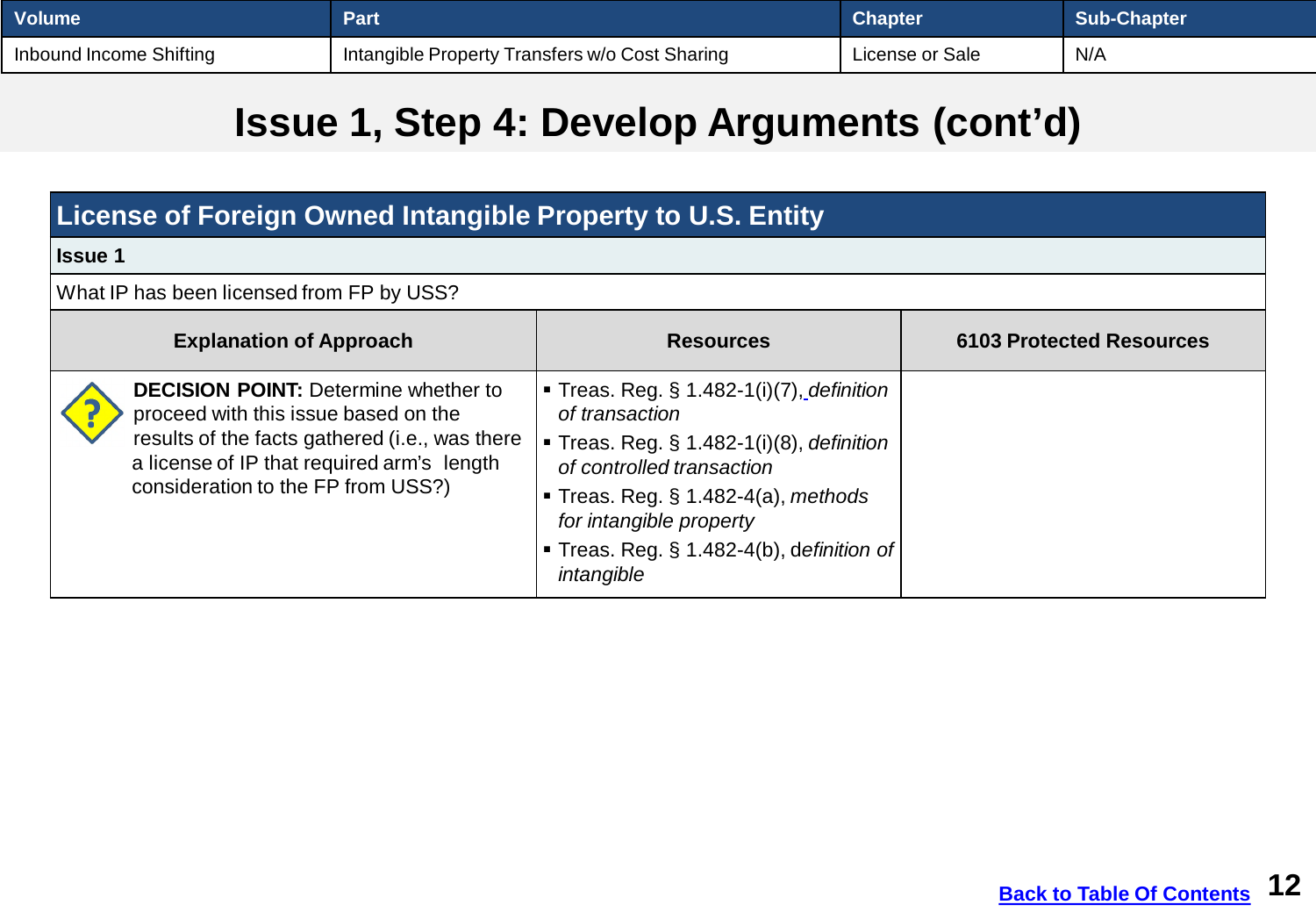| <b>Volume</b>           | Part                                           | <b>Chapter</b>  | Sub-Chapter |
|-------------------------|------------------------------------------------|-----------------|-------------|
| Inbound Income Shifting | Intangible Property Transfers w/o Cost Sharing | License or Sale | N/A         |

## **Issue 1, Step 4: Develop Arguments (cont'd)**

| License of Foreign Owned Intangible Property to U.S. Entity                                                                                                                                                               |                                                                                                                                                                                                                                                                        |                                 |  |
|---------------------------------------------------------------------------------------------------------------------------------------------------------------------------------------------------------------------------|------------------------------------------------------------------------------------------------------------------------------------------------------------------------------------------------------------------------------------------------------------------------|---------------------------------|--|
| <b>Issue 1</b>                                                                                                                                                                                                            |                                                                                                                                                                                                                                                                        |                                 |  |
| What IP has been licensed from FP by USS?                                                                                                                                                                                 |                                                                                                                                                                                                                                                                        |                                 |  |
| <b>Explanation of Approach</b>                                                                                                                                                                                            | <b>Resources</b>                                                                                                                                                                                                                                                       | <b>6103 Protected Resources</b> |  |
| <b>DECISION POINT: Determine whether to</b><br>proceed with this issue based on the<br>results of the facts gathered (i.e., was there<br>a license of IP that required arm's length<br>consideration to the FP from USS?) | Treas. Reg. $\S$ 1.482-1(i)(7), definition<br>of transaction<br>Treas. Reg. § 1.482-1(i)(8), definition<br>of controlled transaction<br><b>Treas. Reg. § 1.482-4(a), methods</b><br>for intangible property<br>■ Treas. Reg. § 1.482-4(b), definition of<br>intangible |                                 |  |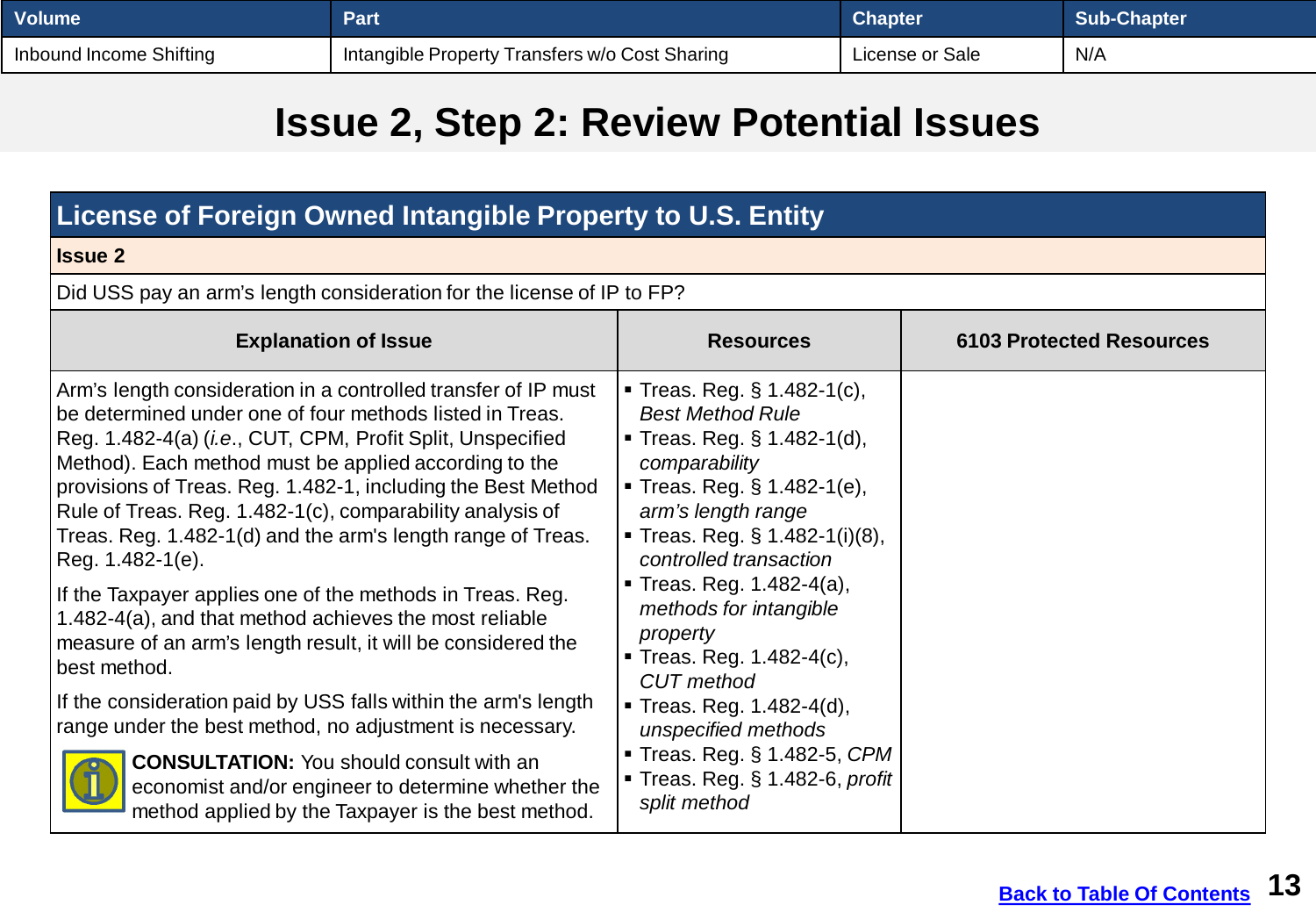<span id="page-12-0"></span>

| <b>Volume</b>           | Part                                           | <b>Chapter</b>  | <b>Sub-Chapter</b> |
|-------------------------|------------------------------------------------|-----------------|--------------------|
| Inbound Income Shifting | Intangible Property Transfers w/o Cost Sharing | License or Sale | N/A                |

## **Issue 2, Step 2: Review Potential Issues**

| License of Foreign Owned Intangible Property to U.S. Entity                                                                                                                                                                                                                                                                                                                                                                                                                                                                                                                                                                                                                                                                                                                                                                                                                                                                                                                    |                                                                                                                                                                                                                                                                                                                                                                                                                                                                                                      |                                 |  |  |
|--------------------------------------------------------------------------------------------------------------------------------------------------------------------------------------------------------------------------------------------------------------------------------------------------------------------------------------------------------------------------------------------------------------------------------------------------------------------------------------------------------------------------------------------------------------------------------------------------------------------------------------------------------------------------------------------------------------------------------------------------------------------------------------------------------------------------------------------------------------------------------------------------------------------------------------------------------------------------------|------------------------------------------------------------------------------------------------------------------------------------------------------------------------------------------------------------------------------------------------------------------------------------------------------------------------------------------------------------------------------------------------------------------------------------------------------------------------------------------------------|---------------------------------|--|--|
| <b>Issue 2</b>                                                                                                                                                                                                                                                                                                                                                                                                                                                                                                                                                                                                                                                                                                                                                                                                                                                                                                                                                                 |                                                                                                                                                                                                                                                                                                                                                                                                                                                                                                      |                                 |  |  |
| Did USS pay an arm's length consideration for the license of IP to FP?                                                                                                                                                                                                                                                                                                                                                                                                                                                                                                                                                                                                                                                                                                                                                                                                                                                                                                         |                                                                                                                                                                                                                                                                                                                                                                                                                                                                                                      |                                 |  |  |
| <b>Explanation of Issue</b>                                                                                                                                                                                                                                                                                                                                                                                                                                                                                                                                                                                                                                                                                                                                                                                                                                                                                                                                                    | <b>Resources</b>                                                                                                                                                                                                                                                                                                                                                                                                                                                                                     | <b>6103 Protected Resources</b> |  |  |
| Arm's length consideration in a controlled transfer of IP must<br>be determined under one of four methods listed in Treas.<br>Reg. 1.482-4(a) ( <i>i.e.</i> , CUT, CPM, Profit Split, Unspecified<br>Method). Each method must be applied according to the<br>provisions of Treas. Reg. 1.482-1, including the Best Method<br>Rule of Treas. Reg. 1.482-1(c), comparability analysis of<br>Treas. Reg. 1.482-1(d) and the arm's length range of Treas.<br>Reg. 1.482-1(e).<br>If the Taxpayer applies one of the methods in Treas. Reg.<br>1.482-4(a), and that method achieves the most reliable<br>measure of an arm's length result, it will be considered the<br>best method.<br>If the consideration paid by USS falls within the arm's length<br>range under the best method, no adjustment is necessary.<br><b>CONSULTATION:</b> You should consult with an<br>economist and/or engineer to determine whether the<br>method applied by the Taxpayer is the best method. | <b>Treas. Reg. § 1.482-1(c),</b><br><b>Best Method Rule</b><br><b>Treas. Reg. § 1.482-1(d),</b><br>comparability<br><b>Treas. Reg. § 1.482-1(e),</b><br>arm's length range<br><b>Treas. Reg. § 1.482-1(i)(8),</b><br>controlled transaction<br>Treas. Reg. $1.482 - 4(a)$ ,<br>methods for intangible<br>property<br>■ Treas. Reg. 1.482-4(c),<br><b>CUT</b> method<br>Treas. Reg. 1.482-4(d),<br>unspecified methods<br>Treas. Reg. § 1.482-5, CPM<br>Treas. Reg. § 1.482-6, profit<br>split method |                                 |  |  |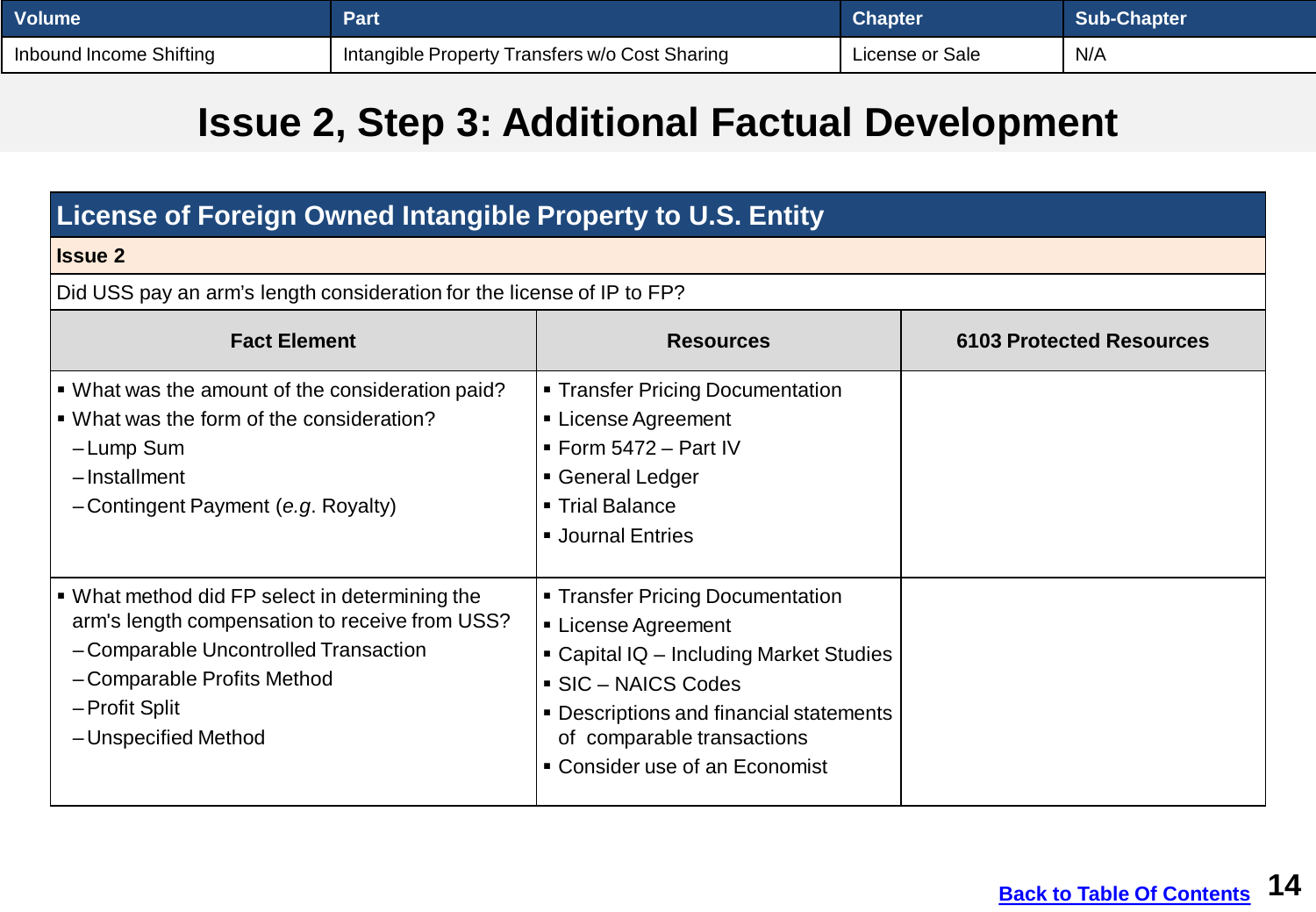| <b>Volume</b>           | Part                                           | <b>Chapter</b>  | Sub-Chapter |
|-------------------------|------------------------------------------------|-----------------|-------------|
| Inbound Income Shifting | Intangible Property Transfers w/o Cost Sharing | License or Sale | N/A         |

## **Issue 2, Step 3: Additional Factual Development**

| License of Foreign Owned Intangible Property to U.S. Entity                                                                                                                                                       |                                                                                                                                                                                                                                    |                                 |  |
|-------------------------------------------------------------------------------------------------------------------------------------------------------------------------------------------------------------------|------------------------------------------------------------------------------------------------------------------------------------------------------------------------------------------------------------------------------------|---------------------------------|--|
| <b>Issue 2</b>                                                                                                                                                                                                    |                                                                                                                                                                                                                                    |                                 |  |
| Did USS pay an arm's length consideration for the license of IP to FP?                                                                                                                                            |                                                                                                                                                                                                                                    |                                 |  |
| <b>Fact Element</b>                                                                                                                                                                                               | <b>Resources</b>                                                                                                                                                                                                                   | <b>6103 Protected Resources</b> |  |
| • What was the amount of the consideration paid?<br>■ What was the form of the consideration?<br>-Lump Sum<br>$-$ Installment<br>-Contingent Payment (e.g. Royalty)                                               | • Transfer Pricing Documentation<br>• License Agreement<br>$\blacksquare$ Form 5472 - Part IV<br>General Ledger<br>■ Trial Balance<br><b>Journal Entries</b>                                                                       |                                 |  |
| • What method did FP select in determining the<br>arm's length compensation to receive from USS?<br>- Comparable Uncontrolled Transaction<br>-Comparable Profits Method<br>- Profit Split<br>- Unspecified Method | • Transfer Pricing Documentation<br>• License Agreement<br>• Capital IQ - Including Market Studies<br>SIC - NAICS Codes<br>• Descriptions and financial statements<br>of comparable transactions<br>• Consider use of an Economist |                                 |  |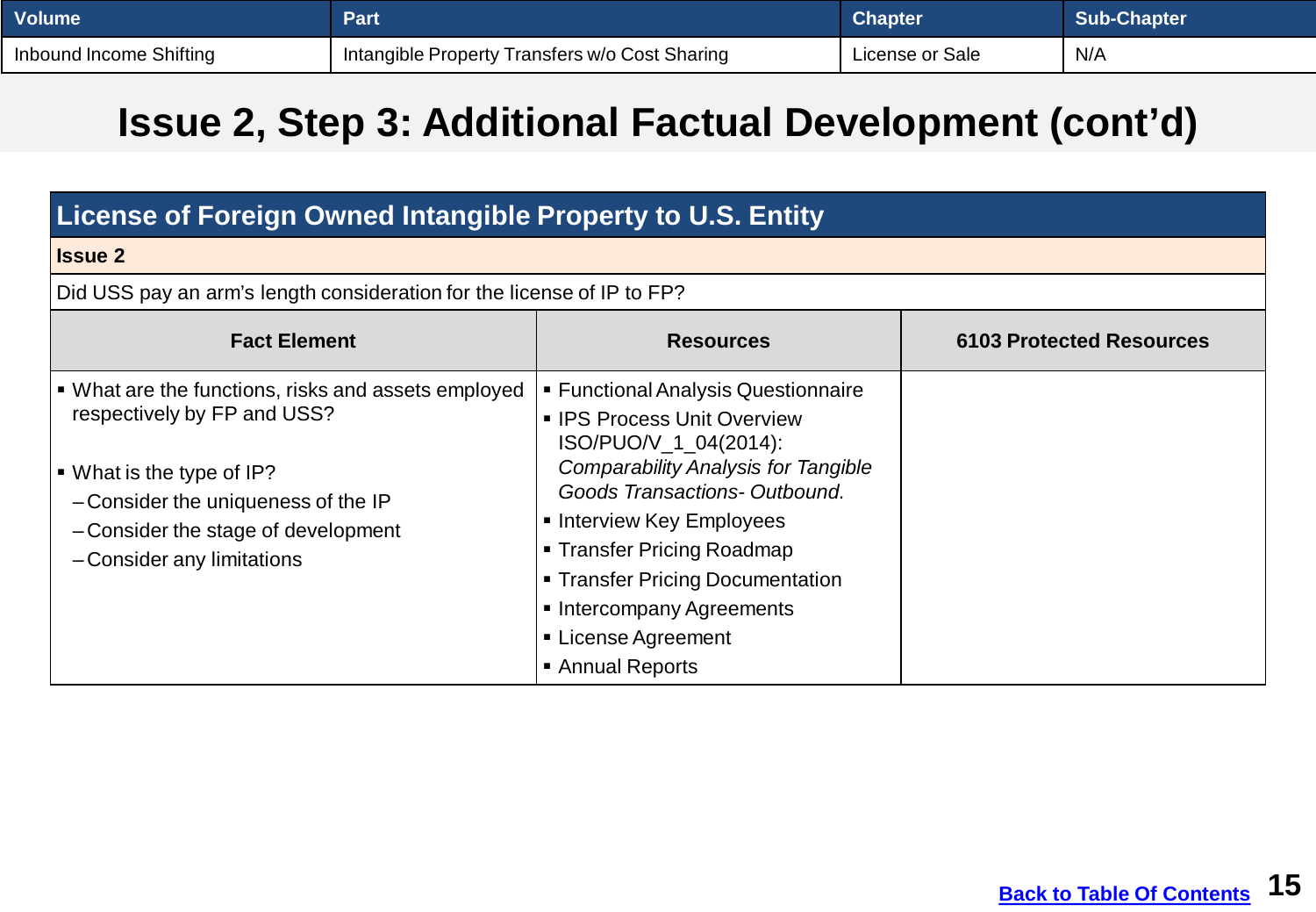| <b>Volume</b>           | Part                                           | <b>Chapter</b>  | <b>Sub-Chapter</b> |
|-------------------------|------------------------------------------------|-----------------|--------------------|
| Inbound Income Shifting | Intangible Property Transfers w/o Cost Sharing | License or Sale | N/A                |

## **Issue 2, Step 3: Additional Factual Development (cont'd)**

| <b>License of Foreign Owned Intangible Property to U.S. Entity</b>                                                                                                                                                                     |                                                                                                                                                                                                                                                                                                                                                |                                 |  |
|----------------------------------------------------------------------------------------------------------------------------------------------------------------------------------------------------------------------------------------|------------------------------------------------------------------------------------------------------------------------------------------------------------------------------------------------------------------------------------------------------------------------------------------------------------------------------------------------|---------------------------------|--|
| <b>Issue 2</b>                                                                                                                                                                                                                         |                                                                                                                                                                                                                                                                                                                                                |                                 |  |
| Did USS pay an arm's length consideration for the license of IP to FP?                                                                                                                                                                 |                                                                                                                                                                                                                                                                                                                                                |                                 |  |
| <b>Fact Element</b>                                                                                                                                                                                                                    | <b>Resources</b>                                                                                                                                                                                                                                                                                                                               | <b>6103 Protected Resources</b> |  |
| • What are the functions, risks and assets employed<br>respectively by FP and USS?<br>$\blacksquare$ What is the type of IP?<br>-Consider the uniqueness of the IP<br>-Consider the stage of development<br>- Consider any limitations | ■ Functional Analysis Questionnaire<br>• IPS Process Unit Overview<br>ISO/PUO/V_1_04(2014):<br><b>Comparability Analysis for Tangible</b><br>Goods Transactions-Outbound.<br>• Interview Key Employees<br>■ Transfer Pricing Roadmap<br>• Transfer Pricing Documentation<br>• Intercompany Agreements<br>■ License Agreement<br>Annual Reports |                                 |  |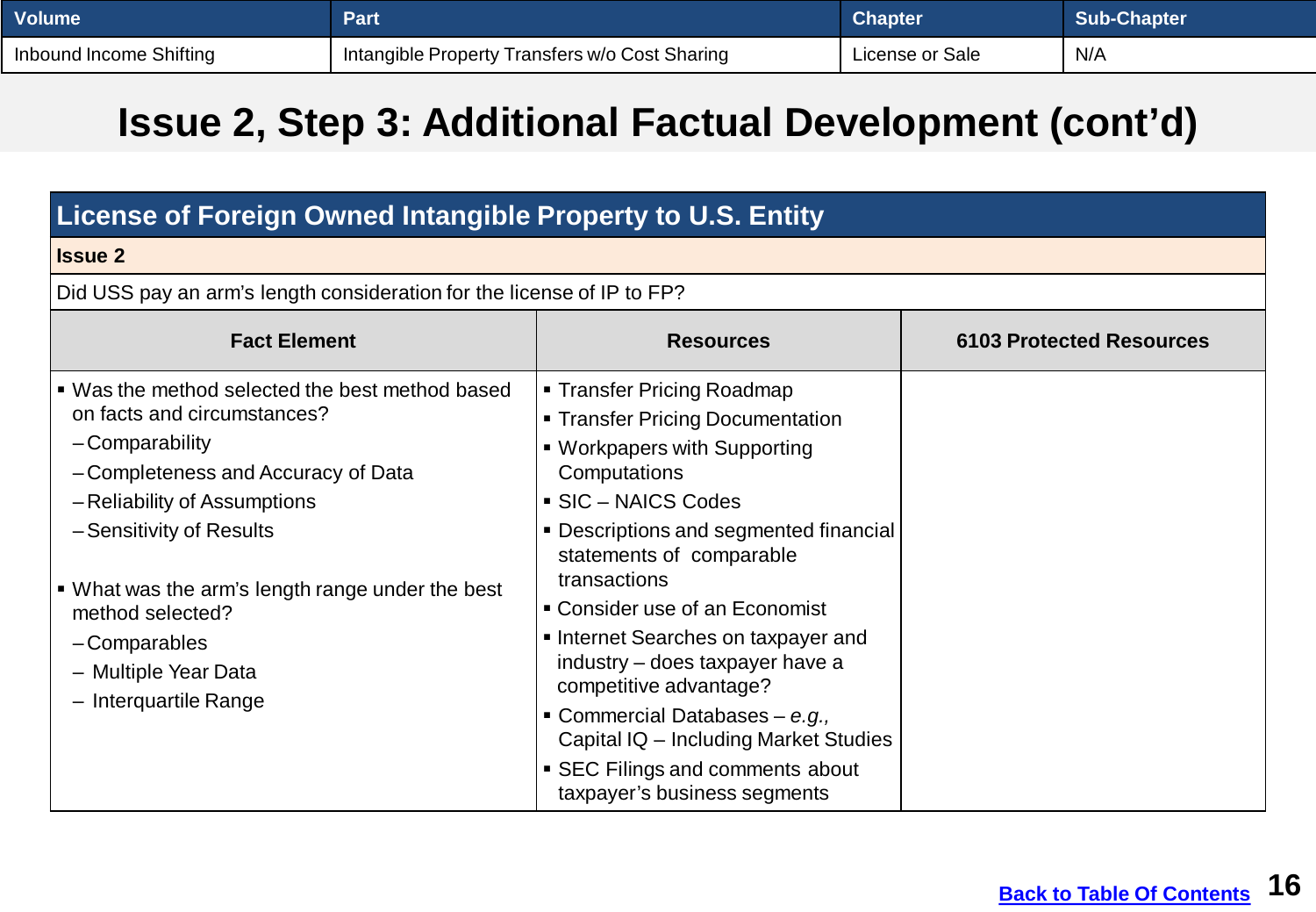| <b>Volume</b>           | Part                                           | <b>Chapter</b>  | <b>Sub-Chapter</b> |
|-------------------------|------------------------------------------------|-----------------|--------------------|
| Inbound Income Shifting | Intangible Property Transfers w/o Cost Sharing | License or Sale | N/A                |

## **Issue 2, Step 3: Additional Factual Development (cont'd)**

| License of Foreign Owned Intangible Property to U.S. Entity                                                                                                                                                                                                                                                                               |                                                                                                                                                                                                                                                                                                                                                                                                                                                                                                            |                                 |  |
|-------------------------------------------------------------------------------------------------------------------------------------------------------------------------------------------------------------------------------------------------------------------------------------------------------------------------------------------|------------------------------------------------------------------------------------------------------------------------------------------------------------------------------------------------------------------------------------------------------------------------------------------------------------------------------------------------------------------------------------------------------------------------------------------------------------------------------------------------------------|---------------------------------|--|
| <b>Issue 2</b>                                                                                                                                                                                                                                                                                                                            |                                                                                                                                                                                                                                                                                                                                                                                                                                                                                                            |                                 |  |
| Did USS pay an arm's length consideration for the license of IP to FP?                                                                                                                                                                                                                                                                    |                                                                                                                                                                                                                                                                                                                                                                                                                                                                                                            |                                 |  |
| <b>Fact Element</b>                                                                                                                                                                                                                                                                                                                       | <b>Resources</b>                                                                                                                                                                                                                                                                                                                                                                                                                                                                                           | <b>6103 Protected Resources</b> |  |
| ■ Was the method selected the best method based<br>on facts and circumstances?<br>-Comparability<br>-Completeness and Accuracy of Data<br>-Reliability of Assumptions<br>-Sensitivity of Results<br>• What was the arm's length range under the best<br>method selected?<br>-Comparables<br>- Multiple Year Data<br>- Interquartile Range | ■ Transfer Pricing Roadmap<br>• Transfer Pricing Documentation<br>• Workpapers with Supporting<br>Computations<br>SIC - NAICS Codes<br>• Descriptions and segmented financial<br>statements of comparable<br>transactions<br>• Consider use of an Economist<br>Internet Searches on taxpayer and<br>industry – does taxpayer have a<br>competitive advantage?<br>Commercial Databases - e.g.,<br>Capital IQ - Including Market Studies<br>• SEC Filings and comments about<br>taxpayer's business segments |                                 |  |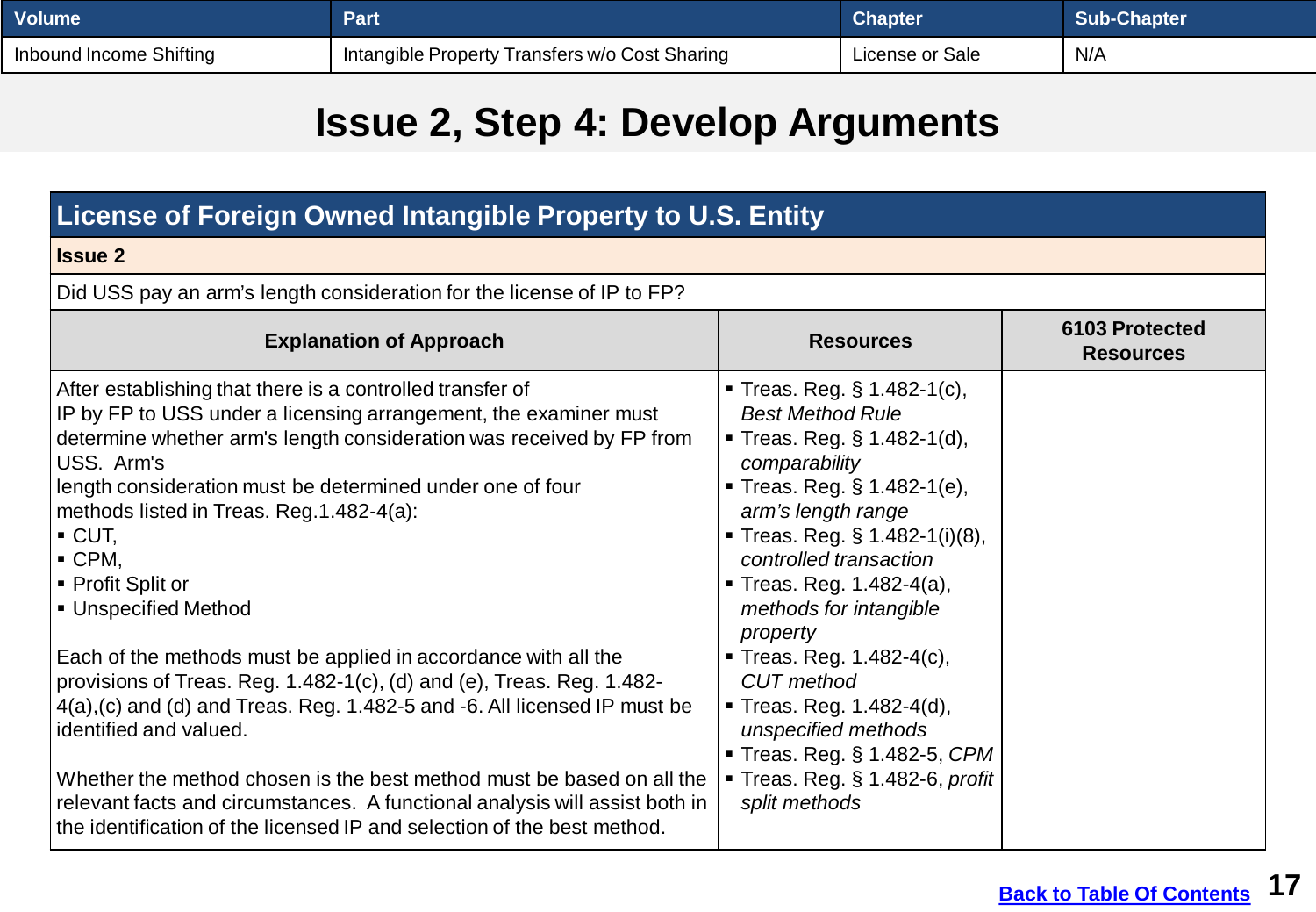| <b>Volume</b>           | Part                                           | <b>Chapter</b>  | <b>Sub-Chapter</b> |
|-------------------------|------------------------------------------------|-----------------|--------------------|
| Inbound Income Shifting | Intangible Property Transfers w/o Cost Sharing | License or Sale | N/A                |

## **Issue 2, Step 4: Develop Arguments**

| License of Foreign Owned Intangible Property to U.S. Entity                                                                                                                                                                                                                                                                                                                                                                                                                                                                                                                                                                                                                                                                                                                                                                                                                                                   |                                                                                                                                                                                                                                                                                                                                                                                                                                                                                                  |                                    |
|---------------------------------------------------------------------------------------------------------------------------------------------------------------------------------------------------------------------------------------------------------------------------------------------------------------------------------------------------------------------------------------------------------------------------------------------------------------------------------------------------------------------------------------------------------------------------------------------------------------------------------------------------------------------------------------------------------------------------------------------------------------------------------------------------------------------------------------------------------------------------------------------------------------|--------------------------------------------------------------------------------------------------------------------------------------------------------------------------------------------------------------------------------------------------------------------------------------------------------------------------------------------------------------------------------------------------------------------------------------------------------------------------------------------------|------------------------------------|
| <b>Issue 2</b>                                                                                                                                                                                                                                                                                                                                                                                                                                                                                                                                                                                                                                                                                                                                                                                                                                                                                                |                                                                                                                                                                                                                                                                                                                                                                                                                                                                                                  |                                    |
| Did USS pay an arm's length consideration for the license of IP to FP?                                                                                                                                                                                                                                                                                                                                                                                                                                                                                                                                                                                                                                                                                                                                                                                                                                        |                                                                                                                                                                                                                                                                                                                                                                                                                                                                                                  |                                    |
| <b>Explanation of Approach</b>                                                                                                                                                                                                                                                                                                                                                                                                                                                                                                                                                                                                                                                                                                                                                                                                                                                                                | <b>Resources</b>                                                                                                                                                                                                                                                                                                                                                                                                                                                                                 | 6103 Protected<br><b>Resources</b> |
| After establishing that there is a controlled transfer of<br>IP by FP to USS under a licensing arrangement, the examiner must<br>determine whether arm's length consideration was received by FP from<br>USS. Arm's<br>length consideration must be determined under one of four<br>methods listed in Treas. Reg. 1.482-4(a):<br>$\blacksquare$ CUT,<br>$\blacksquare$ CPM,<br>■ Profit Split or<br>■ Unspecified Method<br>Each of the methods must be applied in accordance with all the<br>provisions of Treas. Reg. 1.482-1(c), (d) and (e), Treas. Reg. 1.482-<br>4(a), (c) and (d) and Treas. Reg. 1.482-5 and -6. All licensed IP must be<br>identified and valued.<br>Whether the method chosen is the best method must be based on all the<br>relevant facts and circumstances. A functional analysis will assist both in<br>the identification of the licensed IP and selection of the best method. | <b>Treas. Reg. § 1.482-1(c),</b><br><b>Best Method Rule</b><br><b>Treas. Reg. § 1.482-1(d),</b><br>comparability<br>Treas. Reg. § 1.482-1(e),<br>arm's length range<br><b>Treas. Reg. § 1.482-1(i)(8),</b><br>controlled transaction<br>■ Treas. Reg. 1.482-4(a),<br>methods for intangible<br>property<br>■ Treas. Reg. 1.482-4(c),<br><b>CUT</b> method<br>Treas. Reg. $1.482 - 4(d)$ ,<br>unspecified methods<br>Treas. Reg. § 1.482-5, CPM<br>Treas. Reg. § 1.482-6, profit<br>split methods |                                    |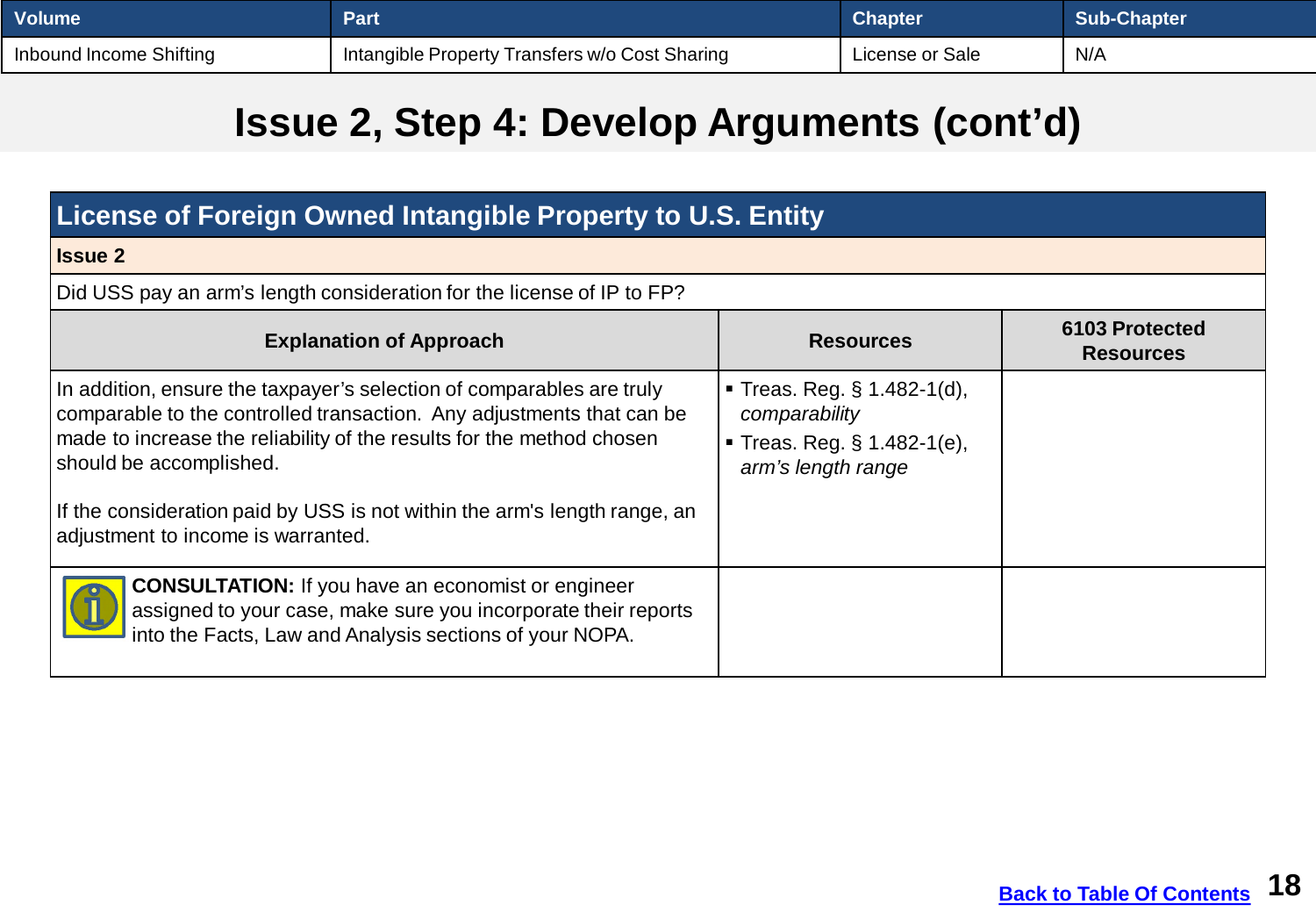| <b>Volume</b>           | Part                                           | <b>Chapter</b>  | <b>Sub-Chapter</b> |
|-------------------------|------------------------------------------------|-----------------|--------------------|
| Inbound Income Shifting | Intangible Property Transfers w/o Cost Sharing | License or Sale | N/A                |

## **Issue 2, Step 4: Develop Arguments (cont'd)**

| License of Foreign Owned Intangible Property to U.S. Entity                                                                                                                                                                                                                                                                                                           |                                                                                                             |                                    |  |
|-----------------------------------------------------------------------------------------------------------------------------------------------------------------------------------------------------------------------------------------------------------------------------------------------------------------------------------------------------------------------|-------------------------------------------------------------------------------------------------------------|------------------------------------|--|
| <b>Issue 2</b>                                                                                                                                                                                                                                                                                                                                                        |                                                                                                             |                                    |  |
| Did USS pay an arm's length consideration for the license of IP to FP?                                                                                                                                                                                                                                                                                                |                                                                                                             |                                    |  |
| <b>Explanation of Approach</b>                                                                                                                                                                                                                                                                                                                                        | <b>Resources</b>                                                                                            | 6103 Protected<br><b>Resources</b> |  |
| In addition, ensure the taxpayer's selection of comparables are truly<br>comparable to the controlled transaction. Any adjustments that can be<br>made to increase the reliability of the results for the method chosen<br>should be accomplished.<br>If the consideration paid by USS is not within the arm's length range, an<br>adjustment to income is warranted. | <b>Treas. Reg. § 1.482-1(d),</b><br>comparability<br><b>Treas. Reg. § 1.482-1(e),</b><br>arm's length range |                                    |  |
| <b>CONSULTATION:</b> If you have an economist or engineer<br>assigned to your case, make sure you incorporate their reports<br>into the Facts, Law and Analysis sections of your NOPA.                                                                                                                                                                                |                                                                                                             |                                    |  |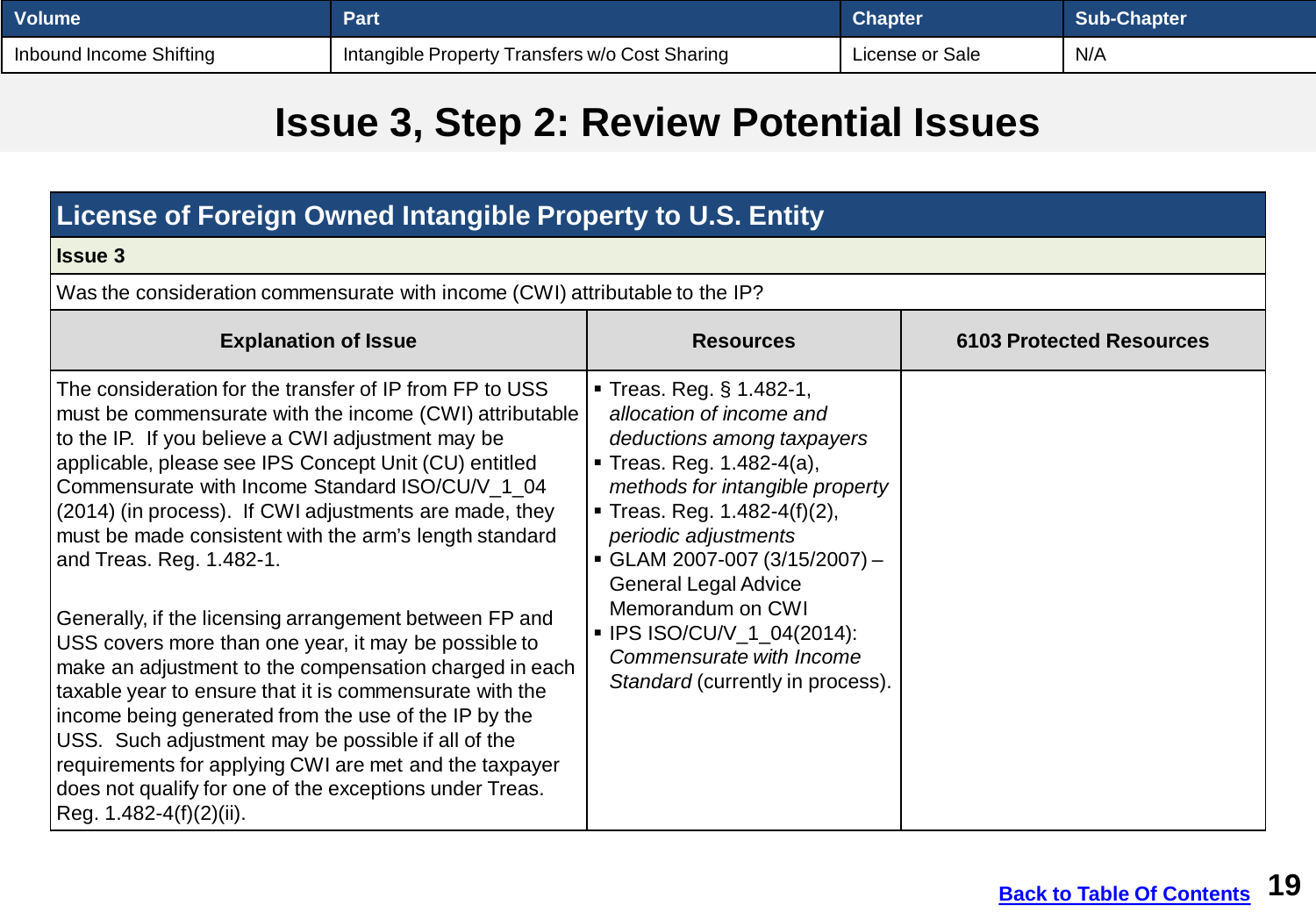<span id="page-18-0"></span>

| <b>Volume</b>           | Part                                           | Chapter         | <b>Sub-Chapter</b> |
|-------------------------|------------------------------------------------|-----------------|--------------------|
| Inbound Income Shifting | Intangible Property Transfers w/o Cost Sharing | License or Sale | N/A                |

#### **Issue 3, Step 2: Review Potential Issues**

#### **License of Foreign Owned Intangible Property to U.S. Entity**

#### **Issue 3**

Was the consideration commensurate with income (CWI) attributable to the IP?

| <b>Explanation of Issue</b>                                                                                                                                                                                                                                                                                                                                                                                                                                                                                                                                                                                                                                                                                                                                                                                                                        | <b>Resources</b>                                                                                                                                                                                                                                                                                                                                                                                                | <b>6103 Protected Resources</b> |
|----------------------------------------------------------------------------------------------------------------------------------------------------------------------------------------------------------------------------------------------------------------------------------------------------------------------------------------------------------------------------------------------------------------------------------------------------------------------------------------------------------------------------------------------------------------------------------------------------------------------------------------------------------------------------------------------------------------------------------------------------------------------------------------------------------------------------------------------------|-----------------------------------------------------------------------------------------------------------------------------------------------------------------------------------------------------------------------------------------------------------------------------------------------------------------------------------------------------------------------------------------------------------------|---------------------------------|
| The consideration for the transfer of IP from FP to USS<br>must be commensurate with the income (CWI) attributable<br>to the IP. If you believe a CWI adjustment may be<br>applicable, please see IPS Concept Unit (CU) entitled<br>Commensurate with Income Standard ISO/CU/V 1 04<br>(2014) (in process). If CWI adjustments are made, they<br>must be made consistent with the arm's length standard<br>and Treas. Reg. 1.482-1.<br>Generally, if the licensing arrangement between FP and<br>USS covers more than one year, it may be possible to<br>make an adjustment to the compensation charged in each<br>taxable year to ensure that it is commensurate with the<br>income being generated from the use of the IP by the<br>USS. Such adjustment may be possible if all of the<br>requirements for applying CWI are met and the taxpayer | ■ Treas. Reg. § 1.482-1,<br>allocation of income and<br>deductions among taxpayers<br>• Treas. Reg. $1.482 - 4(a)$ ,<br>methods for intangible property<br><b>Treas. Reg. 1.482-4(f)(2),</b><br>periodic adjustments<br>$\bullet$ GLAM 2007-007 (3/15/2007) -<br><b>General Legal Advice</b><br>Memorandum on CWI<br>■ IPS ISO/CU/V_1_04(2014):<br>Commensurate with Income<br>Standard (currently in process). |                                 |
| does not qualify for one of the exceptions under Treas.<br>Reg. 1.482-4(f)(2)(ii).                                                                                                                                                                                                                                                                                                                                                                                                                                                                                                                                                                                                                                                                                                                                                                 |                                                                                                                                                                                                                                                                                                                                                                                                                 |                                 |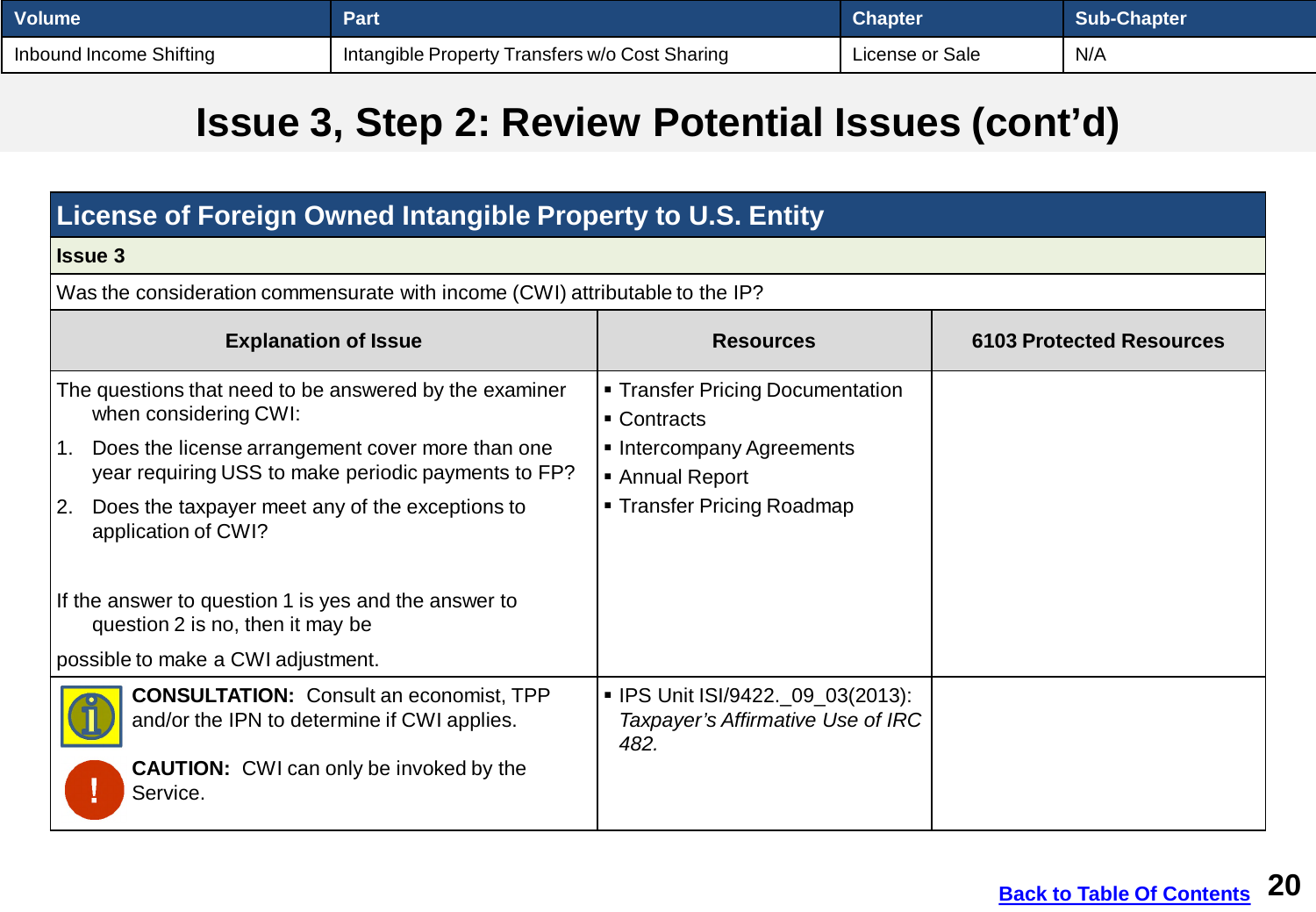| <b>Volume</b>           | Part                                            | <b>Chapter</b>  | Sub-Chapter |
|-------------------------|-------------------------------------------------|-----------------|-------------|
| Inbound Income Shifting | 'Intangible Property Transfers w/o Cost Sharing | License or Sale | N/A         |

### **Issue 3, Step 2: Review Potential Issues (cont'd)**

| License of Foreign Owned Intangible Property to U.S. Entity                                                                               |                                                                                |                                 |  |
|-------------------------------------------------------------------------------------------------------------------------------------------|--------------------------------------------------------------------------------|---------------------------------|--|
| <b>Issue 3</b>                                                                                                                            |                                                                                |                                 |  |
| Was the consideration commensurate with income (CWI) attributable to the IP?                                                              |                                                                                |                                 |  |
| <b>Explanation of Issue</b>                                                                                                               | <b>Resources</b>                                                               | <b>6103 Protected Resources</b> |  |
| The questions that need to be answered by the examiner<br>when considering CWI:<br>Does the license arrangement cover more than one<br>1. | • Transfer Pricing Documentation<br>• Contracts<br>• Intercompany Agreements   |                                 |  |
| year requiring USS to make periodic payments to FP?                                                                                       | ■ Annual Report                                                                |                                 |  |
| Does the taxpayer meet any of the exceptions to<br><u>  2.</u><br>application of CWI?                                                     | ■ Transfer Pricing Roadmap                                                     |                                 |  |
| If the answer to question 1 is yes and the answer to<br>question 2 is no, then it may be                                                  |                                                                                |                                 |  |
| possible to make a CWI adjustment.                                                                                                        |                                                                                |                                 |  |
| <b>CONSULTATION:</b> Consult an economist, TPP<br>and/or the IPN to determine if CWI applies.                                             | ■ IPS Unit ISI/9422._09_03(2013):<br>Taxpayer's Affirmative Use of IRC<br>482. |                                 |  |
| <b>CAUTION:</b> CWI can only be invoked by the<br>Service.                                                                                |                                                                                |                                 |  |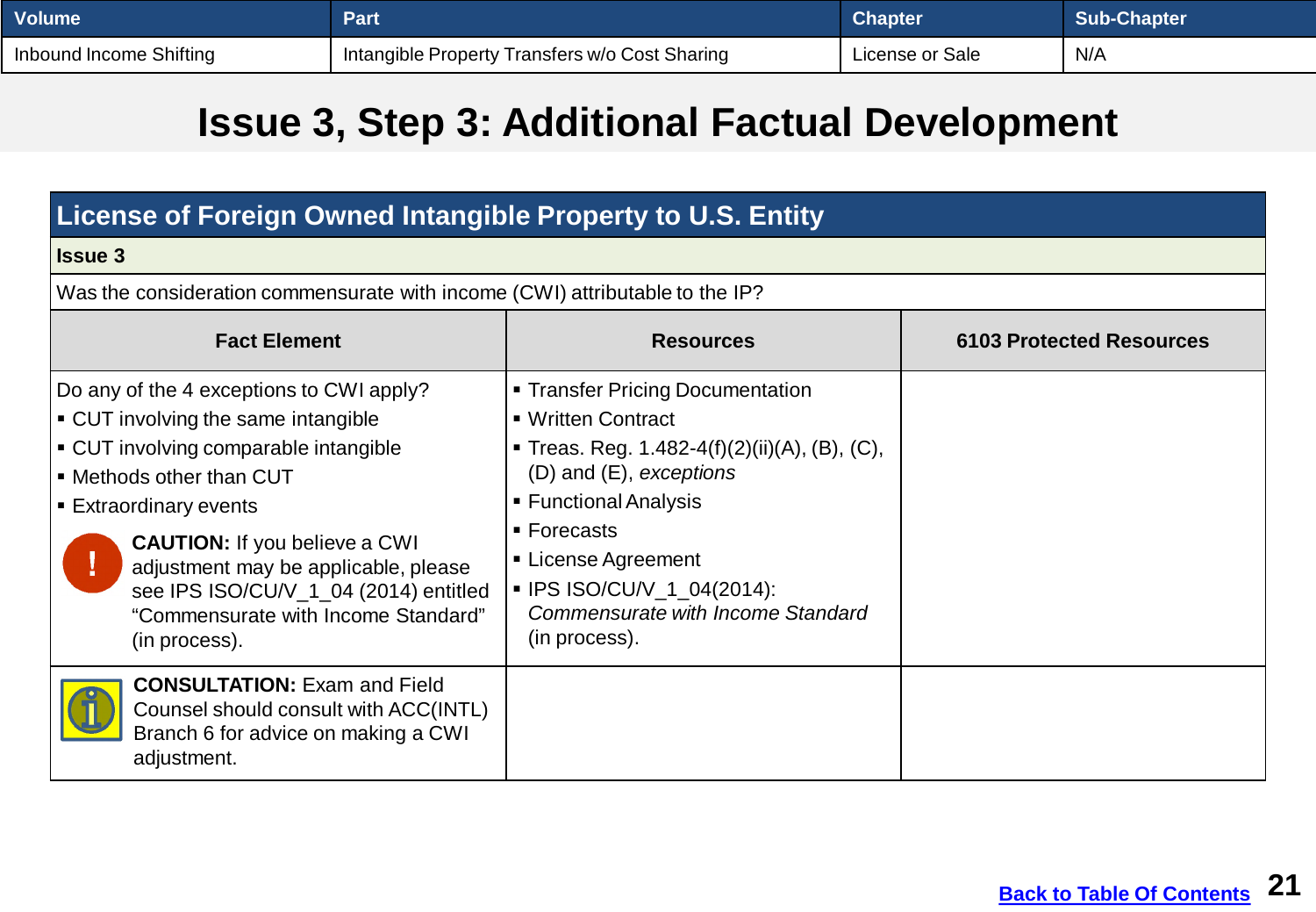| <b>Volume</b>           | Part                                           | <b>Chapter</b>  | <b>Sub-Chapter</b> |
|-------------------------|------------------------------------------------|-----------------|--------------------|
| Inbound Income Shifting | Intangible Property Transfers w/o Cost Sharing | License or Sale | N/A                |

## **Issue 3, Step 3: Additional Factual Development**

| License of Foreign Owned Intangible Property to U.S. Entity                                                                                                                                                                                                                                                                                                     |                                                                                                                                                                                                                                                                                                              |  |  |  |  |
|-----------------------------------------------------------------------------------------------------------------------------------------------------------------------------------------------------------------------------------------------------------------------------------------------------------------------------------------------------------------|--------------------------------------------------------------------------------------------------------------------------------------------------------------------------------------------------------------------------------------------------------------------------------------------------------------|--|--|--|--|
| <b>Issue 3</b>                                                                                                                                                                                                                                                                                                                                                  |                                                                                                                                                                                                                                                                                                              |  |  |  |  |
| Was the consideration commensurate with income (CWI) attributable to the IP?                                                                                                                                                                                                                                                                                    |                                                                                                                                                                                                                                                                                                              |  |  |  |  |
| <b>Fact Element</b>                                                                                                                                                                                                                                                                                                                                             | <b>6103 Protected Resources</b><br><b>Resources</b>                                                                                                                                                                                                                                                          |  |  |  |  |
| Do any of the 4 exceptions to CWI apply?<br>• CUT involving the same intangible<br>• CUT involving comparable intangible<br>• Methods other than CUT<br>■ Extraordinary events<br><b>CAUTION:</b> If you believe a CWI<br>adjustment may be applicable, please<br>see IPS ISO/CU/V_1_04 (2014) entitled<br>"Commensurate with Income Standard"<br>(in process). | • Transfer Pricing Documentation<br>■ Written Contract<br><b>Treas. Reg. 1.482-4(f)(2)(ii)(A), (B), (C),</b><br>$(D)$ and $(E)$ , exceptions<br>■ Functional Analysis<br>$\blacksquare$ Forecasts<br>■ License Agreement<br>■ IPS ISO/CU/V_1_04(2014):<br>Commensurate with Income Standard<br>(in process). |  |  |  |  |
| <b>CONSULTATION: Exam and Field</b><br>Counsel should consult with ACC(INTL)<br>Branch 6 for advice on making a CWI<br>adjustment.                                                                                                                                                                                                                              |                                                                                                                                                                                                                                                                                                              |  |  |  |  |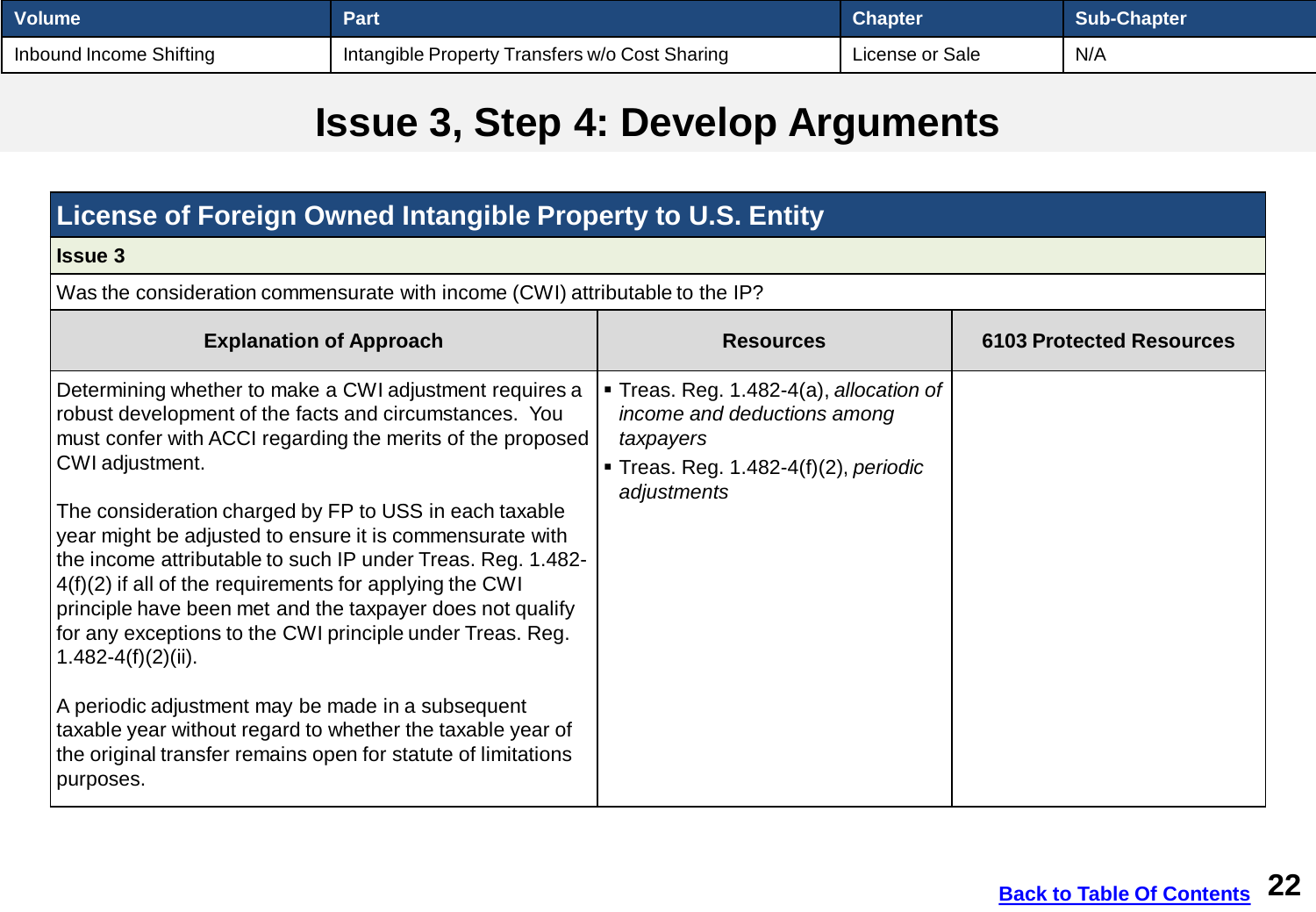| <b>Volume</b>           | Part                                           | <b>Chapter</b>  | Sub-Chapter |
|-------------------------|------------------------------------------------|-----------------|-------------|
| Inbound Income Shifting | Intangible Property Transfers w/o Cost Sharing | License or Sale | N/A         |

## **Issue 3, Step 4: Develop Arguments**

| License of Foreign Owned Intangible Property to U.S. Entity                                                                                                                                                                                                                                                                                                                                                                                                                                                                                                                                                                                                                                                                                                                                                |                                                                                                                                              |                                 |  |
|------------------------------------------------------------------------------------------------------------------------------------------------------------------------------------------------------------------------------------------------------------------------------------------------------------------------------------------------------------------------------------------------------------------------------------------------------------------------------------------------------------------------------------------------------------------------------------------------------------------------------------------------------------------------------------------------------------------------------------------------------------------------------------------------------------|----------------------------------------------------------------------------------------------------------------------------------------------|---------------------------------|--|
| <b>Issue 3</b>                                                                                                                                                                                                                                                                                                                                                                                                                                                                                                                                                                                                                                                                                                                                                                                             |                                                                                                                                              |                                 |  |
| Was the consideration commensurate with income (CWI) attributable to the IP?                                                                                                                                                                                                                                                                                                                                                                                                                                                                                                                                                                                                                                                                                                                               |                                                                                                                                              |                                 |  |
| <b>Explanation of Approach</b>                                                                                                                                                                                                                                                                                                                                                                                                                                                                                                                                                                                                                                                                                                                                                                             | <b>Resources</b>                                                                                                                             | <b>6103 Protected Resources</b> |  |
| Determining whether to make a CWI adjustment requires a<br>robust development of the facts and circumstances. You<br>must confer with ACCI regarding the merits of the proposed<br>CWI adjustment.<br>The consideration charged by FP to USS in each taxable<br>year might be adjusted to ensure it is commensurate with<br>the income attributable to such IP under Treas. Reg. 1.482-<br>$4(f)(2)$ if all of the requirements for applying the CWI<br>principle have been met and the taxpayer does not qualify<br>for any exceptions to the CWI principle under Treas. Reg.<br>$1.482 - 4(f)(2)(ii)$ .<br>A periodic adjustment may be made in a subsequent<br>taxable year without regard to whether the taxable year of<br>the original transfer remains open for statute of limitations<br>purposes. | ■ Treas. Reg. 1.482-4(a), allocation of<br>income and deductions among<br>taxpayers<br>Treas. Reg. $1.482-4(f)(2)$ , periodic<br>adjustments |                                 |  |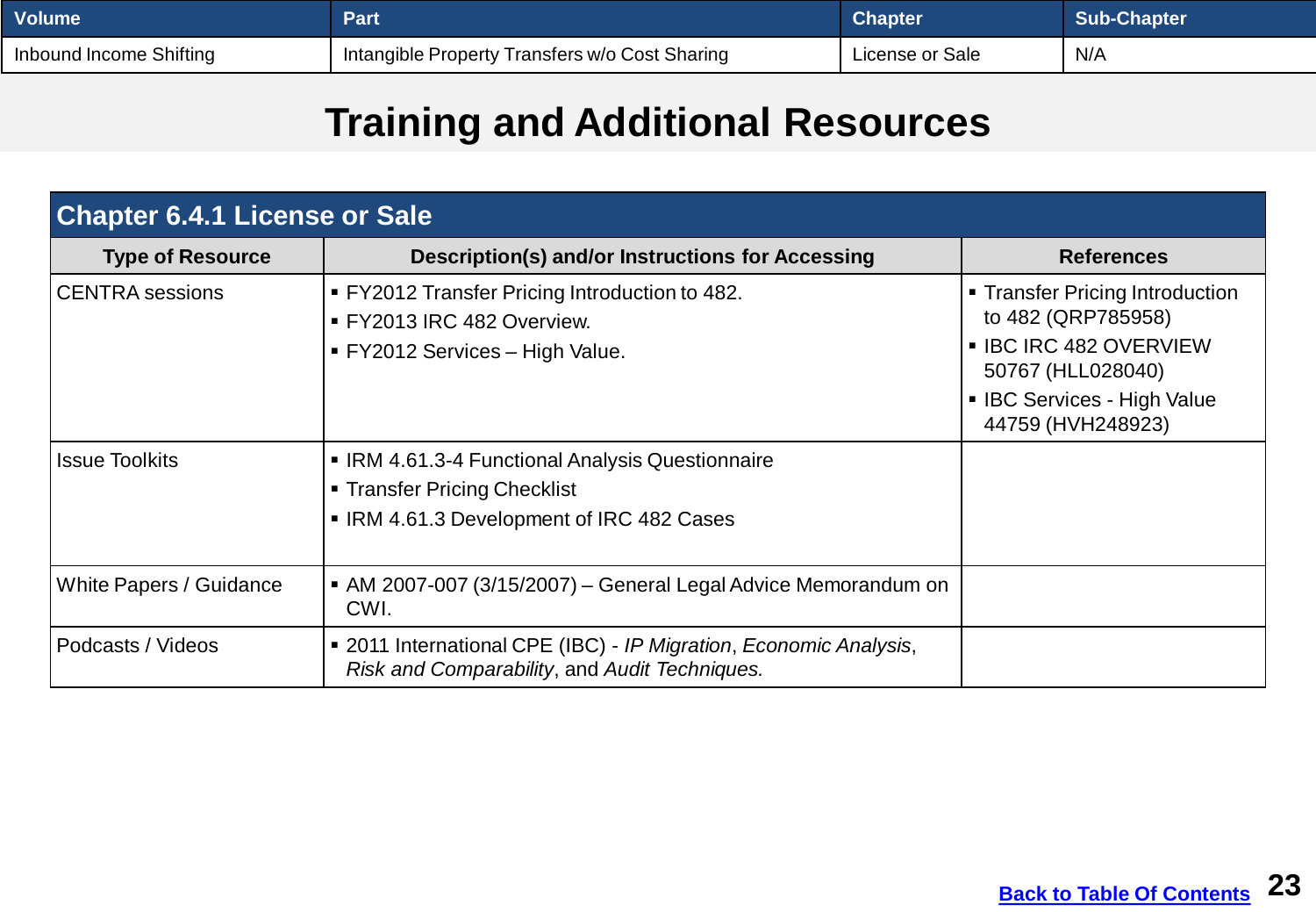<span id="page-22-0"></span>

| <b>Volume</b>           | Part                                           | <b>Chapter</b>  | <b>Sub-Chapter</b> |
|-------------------------|------------------------------------------------|-----------------|--------------------|
| Inbound Income Shifting | Intangible Property Transfers w/o Cost Sharing | License or Sale | N/A                |

## **Training and Additional Resources**

| <b>Chapter 6.4.1 License or Sale</b> |                                                                                                                             |                                                                                                                                                          |  |
|--------------------------------------|-----------------------------------------------------------------------------------------------------------------------------|----------------------------------------------------------------------------------------------------------------------------------------------------------|--|
| <b>Type of Resource</b>              | Description(s) and/or Instructions for Accessing                                                                            | <b>References</b>                                                                                                                                        |  |
| <b>CENTRA</b> sessions               | <b>FY2012 Transfer Pricing Introduction to 482.</b><br>■ FY2013 IRC 482 Overview.<br>■ FY2012 Services – High Value.        | • Transfer Pricing Introduction<br>to 482 (QRP785958)<br>• IBC IRC 482 OVERVIEW<br>50767 (HLL028040)<br>• IBC Services - High Value<br>44759 (HVH248923) |  |
| <b>Issue Toolkits</b>                | • IRM 4.61.3-4 Functional Analysis Questionnaire<br>■ Transfer Pricing Checklist<br>IRM 4.61.3 Development of IRC 482 Cases |                                                                                                                                                          |  |
| White Papers / Guidance              | • AM 2007-007 (3/15/2007) – General Legal Advice Memorandum on<br>CWI.                                                      |                                                                                                                                                          |  |
| Podcasts / Videos                    | ■ 2011 International CPE (IBC) - IP Migration, Economic Analysis,<br>Risk and Comparability, and Audit Techniques.          |                                                                                                                                                          |  |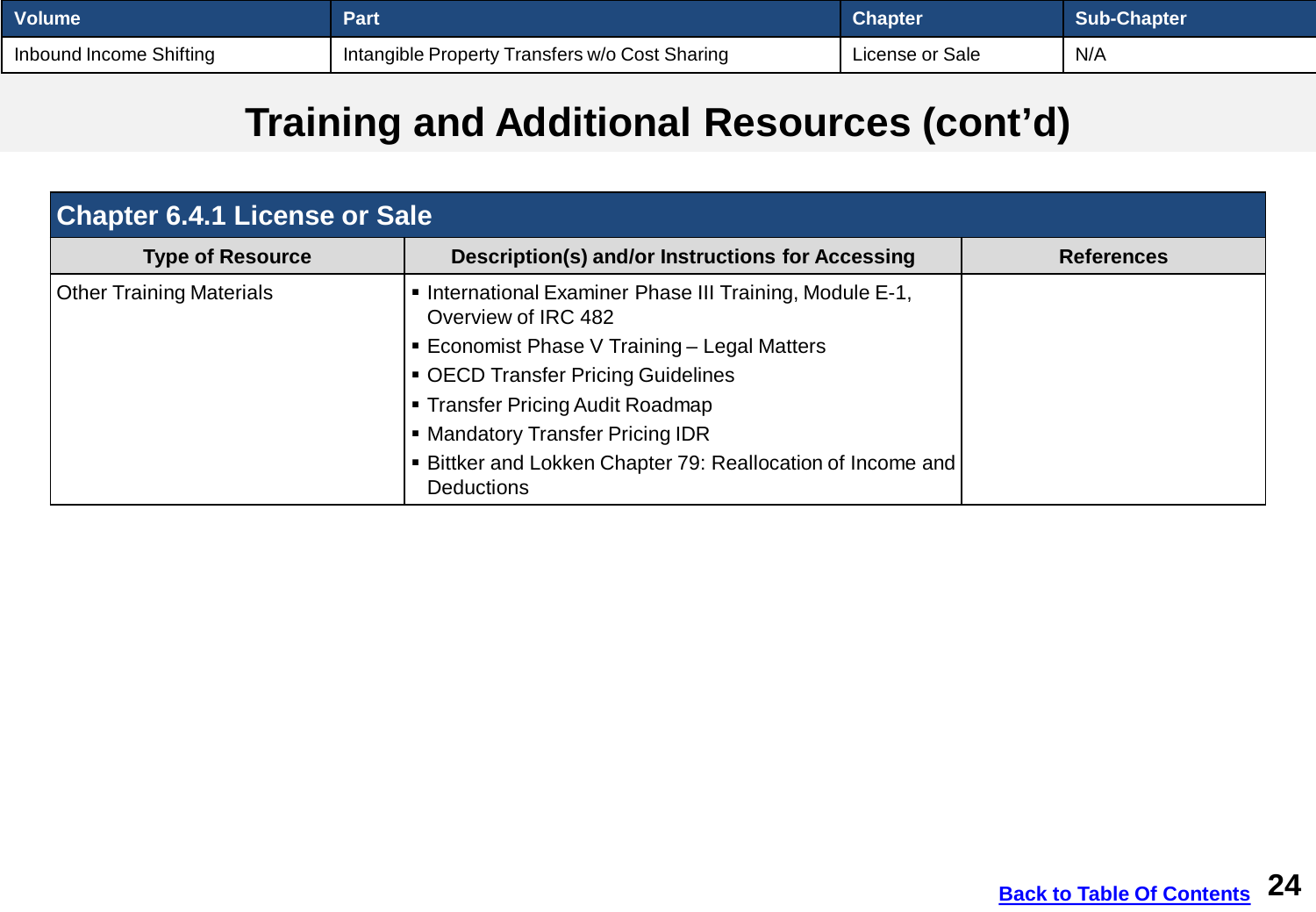| Volume <sup>1</sup>     | Part                                           | <b>Chapter</b>  | <b>Sub-Chapter</b> |
|-------------------------|------------------------------------------------|-----------------|--------------------|
| Inbound Income Shifting | Intangible Property Transfers w/o Cost Sharing | License or Sale | N/A                |

# **Training and Additional Resources (cont'd)**

| <b>Chapter 6.4.1 License or Sale</b> |                                                                                  |                   |  |
|--------------------------------------|----------------------------------------------------------------------------------|-------------------|--|
| <b>Type of Resource</b>              | Description(s) and/or Instructions for Accessing                                 | <b>References</b> |  |
| <b>Other Training Materials</b>      | . International Examiner Phase III Training, Module E-1,<br>Overview of IRC 482  |                   |  |
|                                      | ■ Economist Phase V Training - Legal Matters                                     |                   |  |
|                                      | • OECD Transfer Pricing Guidelines                                               |                   |  |
|                                      | • Transfer Pricing Audit Roadmap                                                 |                   |  |
|                                      | • Mandatory Transfer Pricing IDR                                                 |                   |  |
|                                      | • Bittker and Lokken Chapter 79: Reallocation of Income and<br><b>Deductions</b> |                   |  |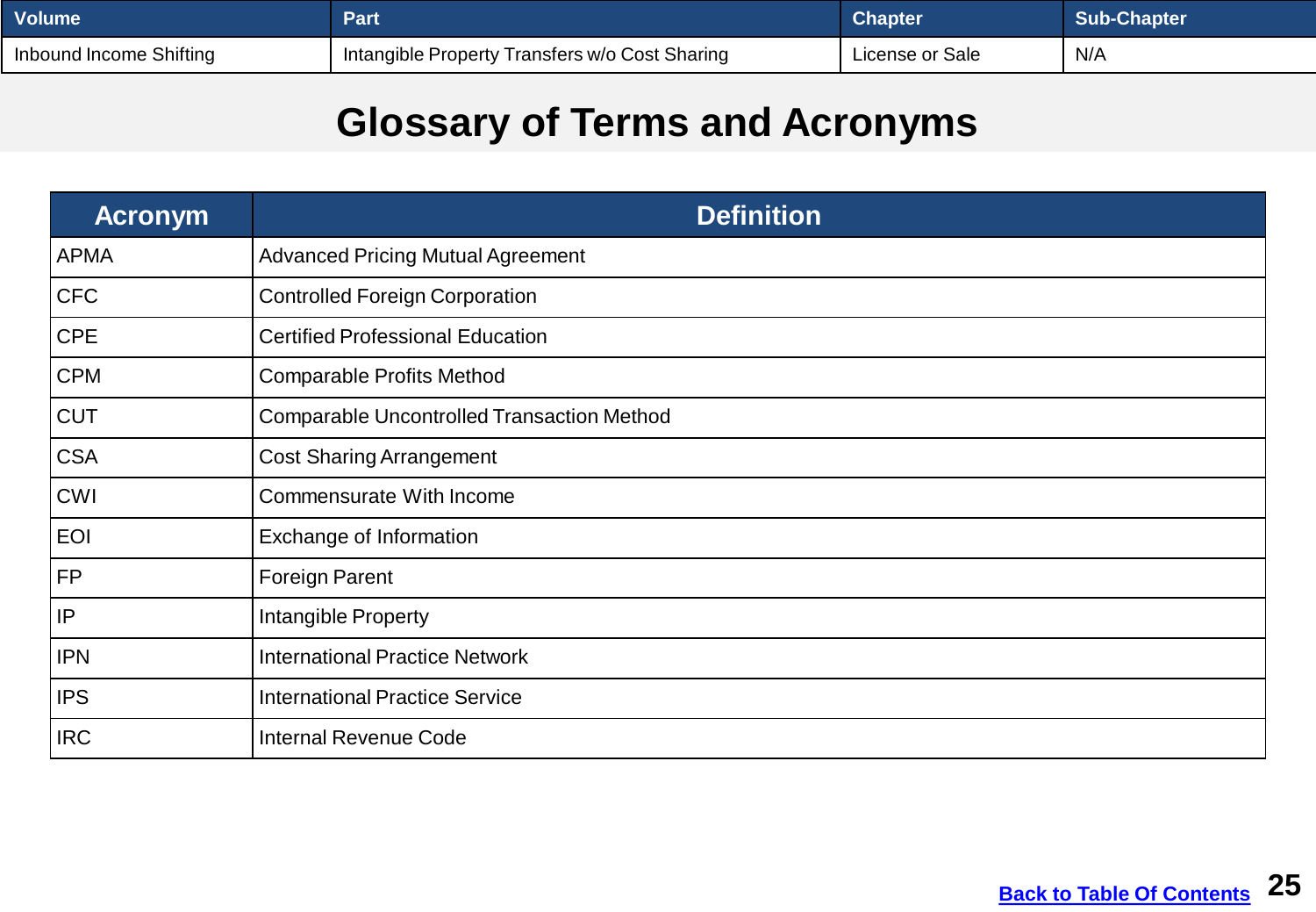<span id="page-24-0"></span>

| <b>Volume</b>           | Part                                                        | <b>Chapter</b>  | <b>Sub-Chapter</b> |
|-------------------------|-------------------------------------------------------------|-----------------|--------------------|
| Inbound Income Shifting | <sup>1</sup> Intangible Property Transfers w/o Cost Sharing | License or Sale | N/A                |

## **Glossary of Terms and Acronyms**

| <b>Acronym</b> | <b>Definition</b>                                 |
|----------------|---------------------------------------------------|
| <b>APMA</b>    | <b>Advanced Pricing Mutual Agreement</b>          |
| <b>CFC</b>     | <b>Controlled Foreign Corporation</b>             |
| <b>CPE</b>     | <b>Certified Professional Education</b>           |
| <b>CPM</b>     | <b>Comparable Profits Method</b>                  |
| <b>CUT</b>     | <b>Comparable Uncontrolled Transaction Method</b> |
| <b>CSA</b>     | <b>Cost Sharing Arrangement</b>                   |
| <b>CWI</b>     | Commensurate With Income                          |
| <b>EOI</b>     | Exchange of Information                           |
| <b>FP</b>      | <b>Foreign Parent</b>                             |
| IP             | Intangible Property                               |
| <b>IPN</b>     | <b>International Practice Network</b>             |
| <b>IPS</b>     | <b>International Practice Service</b>             |
| <b>IRC</b>     | <b>Internal Revenue Code</b>                      |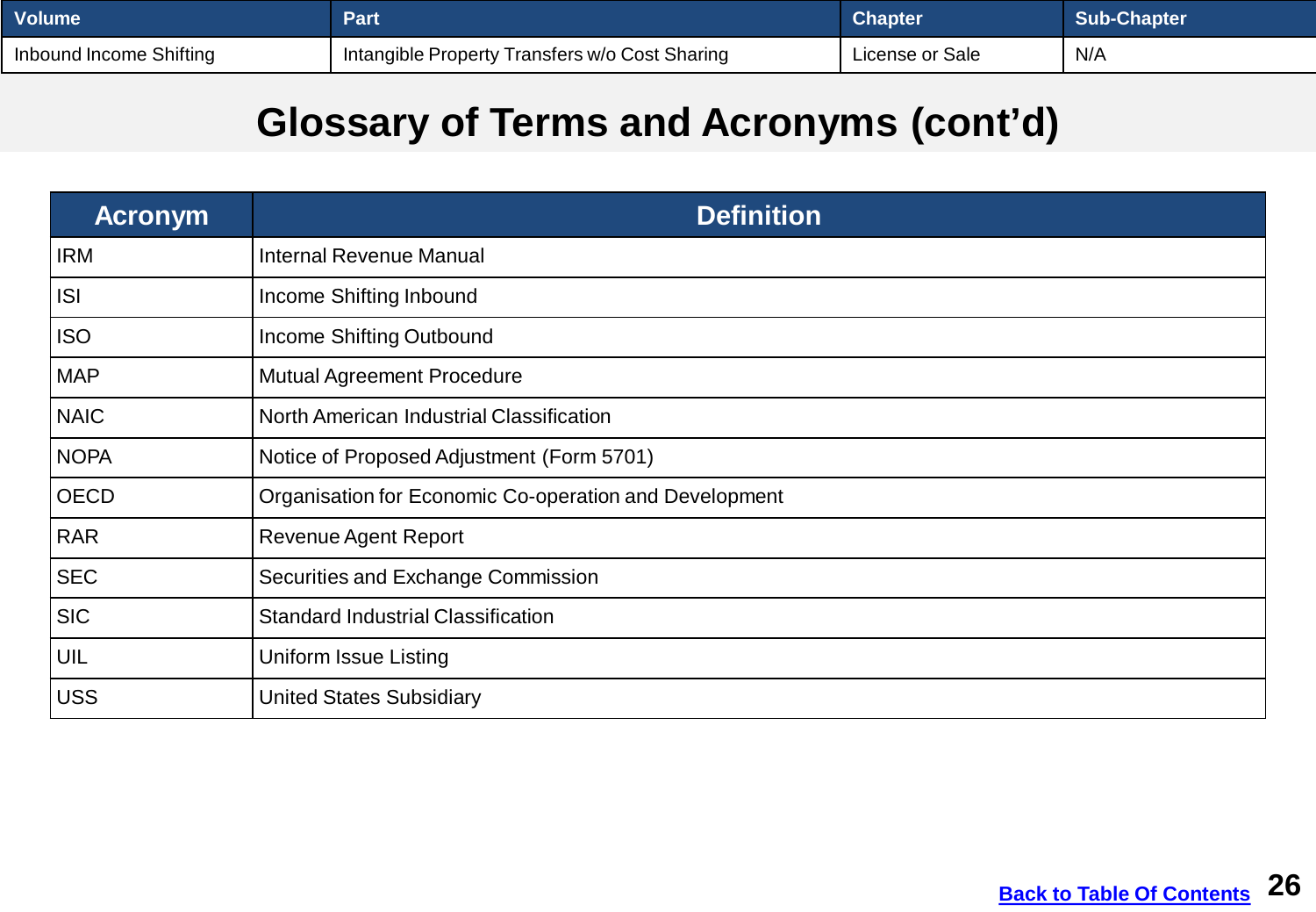| <u> </u> Volume         | Part                                           | <b>Chapter</b>  | Sub-Chapter |
|-------------------------|------------------------------------------------|-----------------|-------------|
| Inbound Income Shifting | Intangible Property Transfers w/o Cost Sharing | License or Sale | N/A         |

#### **Glossary of Terms and Acronyms (cont'd)**

| <b>Acronym</b>  | <b>Definition</b>                                      |
|-----------------|--------------------------------------------------------|
| <b>IRM</b>      | <b>Internal Revenue Manual</b>                         |
| ISI             | Income Shifting Inbound                                |
| <b>ISO</b>      | Income Shifting Outbound                               |
| <b>MAP</b>      | <b>Mutual Agreement Procedure</b>                      |
| <b>NAIC</b>     | North American Industrial Classification               |
| <b>NOPA</b>     | Notice of Proposed Adjustment (Form 5701)              |
| <b>OECD</b>     | Organisation for Economic Co-operation and Development |
| RAR             | <b>Revenue Agent Report</b>                            |
| SEC             | Securities and Exchange Commission                     |
| SIC             | <b>Standard Industrial Classification</b>              |
| UIL             | <b>Uniform Issue Listing</b>                           |
| USS <sup></sup> | <b>United States Subsidiary</b>                        |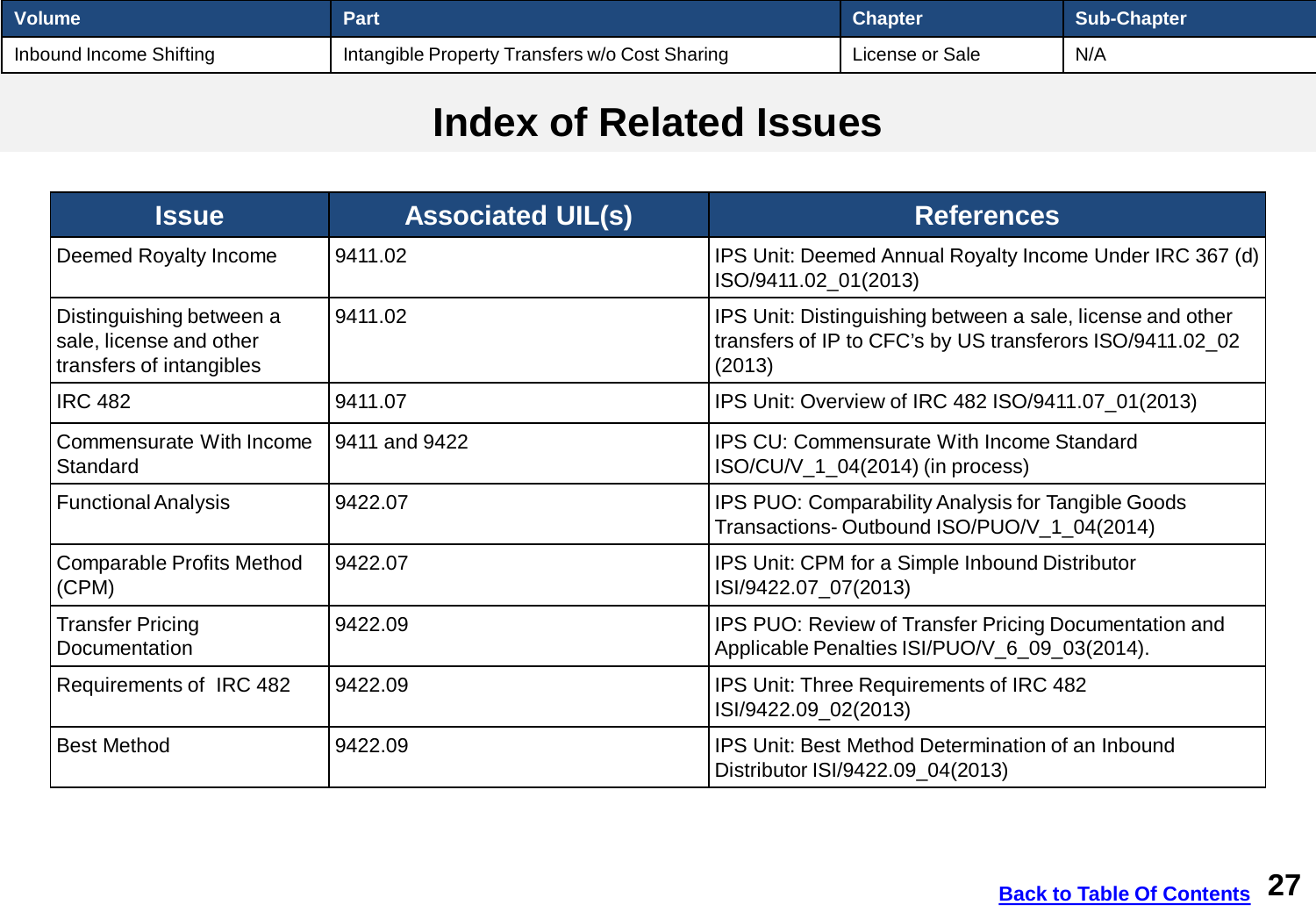<span id="page-26-0"></span>

| ∣ Volume l              | Part                                           | <b>Chapter</b>  | Sub-Chapter |
|-------------------------|------------------------------------------------|-----------------|-------------|
| Inbound Income Shifting | Intangible Property Transfers w/o Cost Sharing | License or Sale | N/A         |

#### **Index of Related Issues**

| <b>Issue</b>                                                                    | <b>Associated UIL(s)</b> | <b>References</b>                                                                                                                 |
|---------------------------------------------------------------------------------|--------------------------|-----------------------------------------------------------------------------------------------------------------------------------|
| Deemed Royalty Income                                                           | 9411.02                  | IPS Unit: Deemed Annual Royalty Income Under IRC 367 (d)<br>ISO/9411.02_01(2013)                                                  |
| Distinguishing between a<br>sale, license and other<br>transfers of intangibles | 9411.02                  | IPS Unit: Distinguishing between a sale, license and other<br>transfers of IP to CFC's by US transferors ISO/9411.02_02<br>(2013) |
| <b>IRC 482</b>                                                                  | 9411.07                  | IPS Unit: Overview of IRC 482 ISO/9411.07_01(2013)                                                                                |
| <b>Commensurate With Income</b><br><b>Standard</b>                              | 9411 and 9422            | <b>IPS CU: Commensurate With Income Standard</b><br>ISO/CU/V_1_04(2014) (in process)                                              |
| <b>Functional Analysis</b>                                                      | 9422.07                  | IPS PUO: Comparability Analysis for Tangible Goods<br>Transactions-Outbound ISO/PUO/V_1_04(2014)                                  |
| <b>Comparable Profits Method</b><br>(CPM)                                       | 9422.07                  | IPS Unit: CPM for a Simple Inbound Distributor<br>ISI/9422.07 07(2013)                                                            |
| <b>Transfer Pricing</b><br><b>Documentation</b>                                 | 9422.09                  | IPS PUO: Review of Transfer Pricing Documentation and<br>Applicable Penalties ISI/PUO/V_6_09_03(2014).                            |
| Requirements of IRC 482                                                         | 9422.09                  | IPS Unit: Three Requirements of IRC 482<br>ISI/9422.09_02(2013)                                                                   |
| <b>Best Method</b>                                                              | 9422.09                  | <b>IPS Unit: Best Method Determination of an Inbound</b><br>Distributor ISI/9422.09_04(2013)                                      |